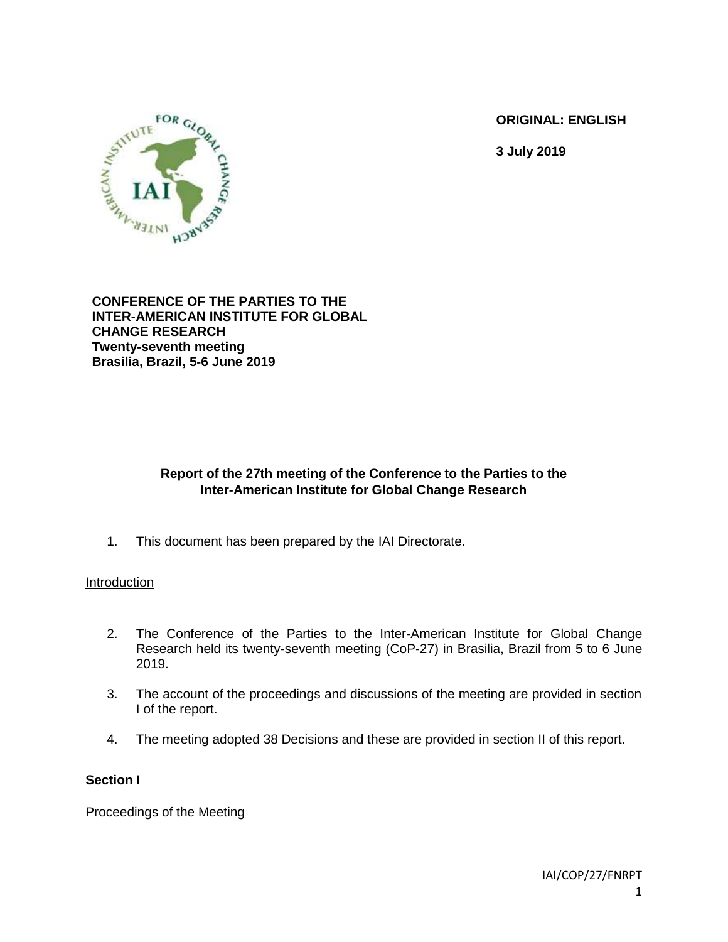**ORIGINAL: ENGLISH**

**3 July 2019**



**CONFERENCE OF THE PARTIES TO THE INTER-AMERICAN INSTITUTE FOR GLOBAL CHANGE RESEARCH Twenty-seventh meeting Brasilia, Brazil, 5-6 June 2019**

# **Report of the 27th meeting of the Conference to the Parties to the Inter-American Institute for Global Change Research**

1. This document has been prepared by the IAI Directorate.

## **Introduction**

- 2. The Conference of the Parties to the Inter-American Institute for Global Change Research held its twenty-seventh meeting (CoP-27) in Brasilia, Brazil from 5 to 6 June 2019.
- 3. The account of the proceedings and discussions of the meeting are provided in section I of the report.
- 4. The meeting adopted 38 Decisions and these are provided in section II of this report.

## **Section I**

Proceedings of the Meeting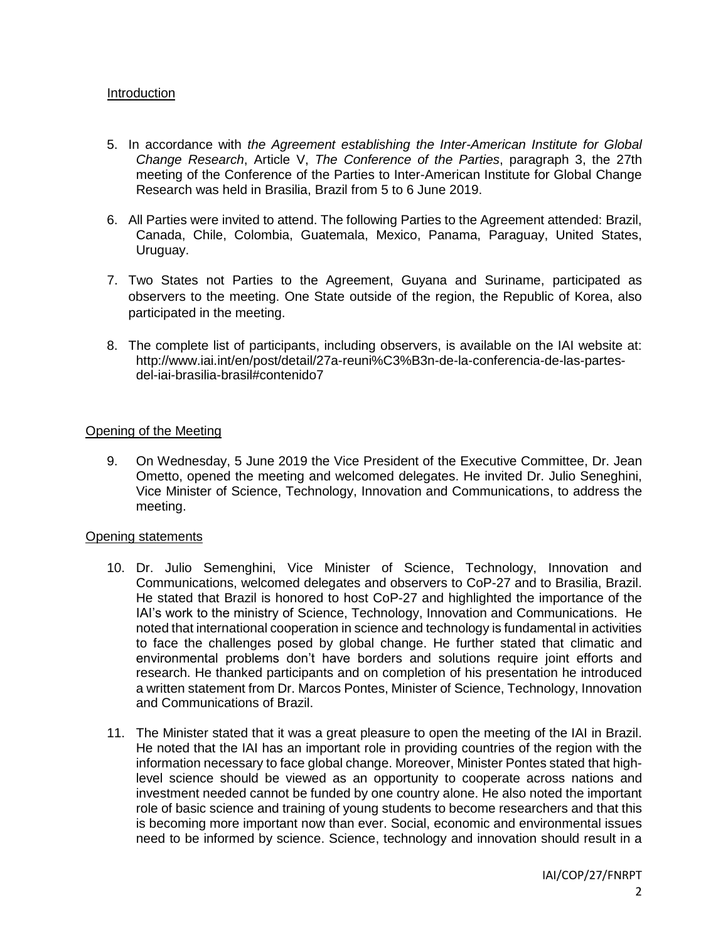### Introduction

- 5. In accordance with *the Agreement establishing the Inter-American Institute for Global Change Research*, Article V, *The Conference of the Parties*, paragraph 3, the 27th meeting of the Conference of the Parties to Inter-American Institute for Global Change Research was held in Brasilia, Brazil from 5 to 6 June 2019.
- 6. All Parties were invited to attend. The following Parties to the Agreement attended: Brazil, Canada, Chile, Colombia, Guatemala, Mexico, Panama, Paraguay, United States, Uruguay.
- 7. Two States not Parties to the Agreement, Guyana and Suriname, participated as observers to the meeting. One State outside of the region, the Republic of Korea, also participated in the meeting.
- 8. The complete list of participants, including observers, is available on the IAI website at: http://www.iai.int/en/post/detail/27a-reuni%C3%B3n-de-la-conferencia-de-las-partesdel-iai-brasilia-brasil#contenido7

## Opening of the Meeting

9. On Wednesday, 5 June 2019 the Vice President of the Executive Committee, Dr. Jean Ometto, opened the meeting and welcomed delegates. He invited Dr. Julio Seneghini, Vice Minister of Science, Technology, Innovation and Communications, to address the meeting.

#### Opening statements

- 10. Dr. Julio Semenghini, Vice Minister of Science, Technology, Innovation and Communications, welcomed delegates and observers to CoP-27 and to Brasilia, Brazil. He stated that Brazil is honored to host CoP-27 and highlighted the importance of the IAI's work to the ministry of Science, Technology, Innovation and Communications. He noted that international cooperation in science and technology is fundamental in activities to face the challenges posed by global change. He further stated that climatic and environmental problems don't have borders and solutions require joint efforts and research. He thanked participants and on completion of his presentation he introduced a written statement from Dr. Marcos Pontes, Minister of Science, Technology, Innovation and Communications of Brazil.
- 11. The Minister stated that it was a great pleasure to open the meeting of the IAI in Brazil. He noted that the IAI has an important role in providing countries of the region with the information necessary to face global change. Moreover, Minister Pontes stated that highlevel science should be viewed as an opportunity to cooperate across nations and investment needed cannot be funded by one country alone. He also noted the important role of basic science and training of young students to become researchers and that this is becoming more important now than ever. Social, economic and environmental issues need to be informed by science. Science, technology and innovation should result in a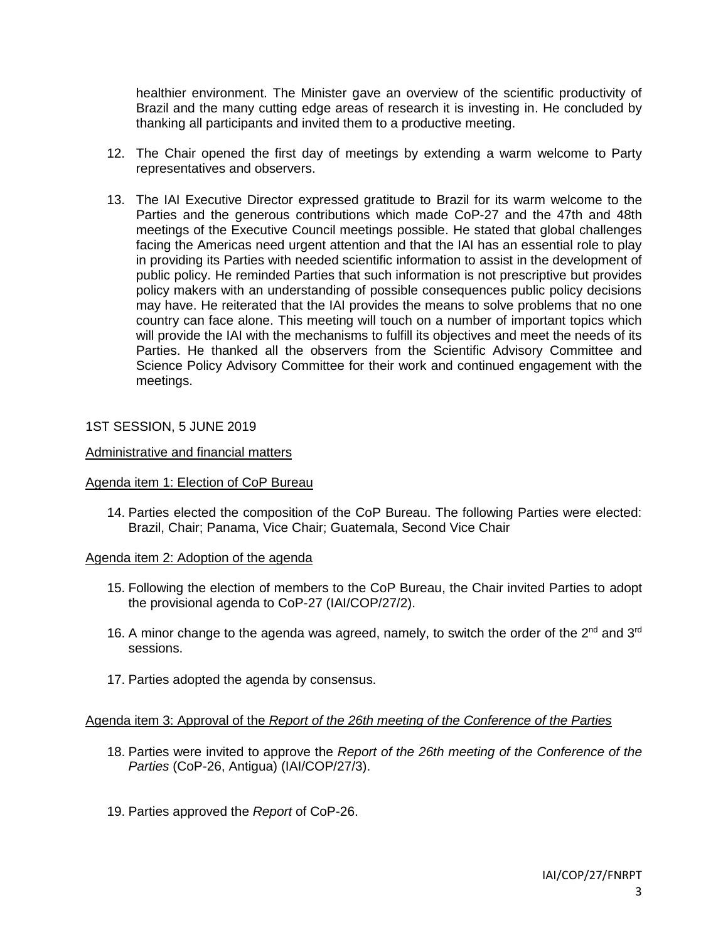healthier environment. The Minister gave an overview of the scientific productivity of Brazil and the many cutting edge areas of research it is investing in. He concluded by thanking all participants and invited them to a productive meeting.

- 12. The Chair opened the first day of meetings by extending a warm welcome to Party representatives and observers.
- 13. The IAI Executive Director expressed gratitude to Brazil for its warm welcome to the Parties and the generous contributions which made CoP-27 and the 47th and 48th meetings of the Executive Council meetings possible. He stated that global challenges facing the Americas need urgent attention and that the IAI has an essential role to play in providing its Parties with needed scientific information to assist in the development of public policy. He reminded Parties that such information is not prescriptive but provides policy makers with an understanding of possible consequences public policy decisions may have. He reiterated that the IAI provides the means to solve problems that no one country can face alone. This meeting will touch on a number of important topics which will provide the IAI with the mechanisms to fulfill its objectives and meet the needs of its Parties. He thanked all the observers from the Scientific Advisory Committee and Science Policy Advisory Committee for their work and continued engagement with the meetings.

1ST SESSION, 5 JUNE 2019

### Administrative and financial matters

#### Agenda item 1: Election of CoP Bureau

14. Parties elected the composition of the CoP Bureau. The following Parties were elected: Brazil, Chair; Panama, Vice Chair; Guatemala, Second Vice Chair

#### Agenda item 2: Adoption of the agenda

- 15. Following the election of members to the CoP Bureau, the Chair invited Parties to adopt the provisional agenda to CoP-27 (IAI/COP/27/2).
- 16. A minor change to the agenda was agreed, namely, to switch the order of the  $2^{nd}$  and  $3^{rd}$ sessions.
- 17. Parties adopted the agenda by consensus.

## Agenda item 3: Approval of the *Report of the 26th meeting of the Conference of the Parties*

- 18. Parties were invited to approve the *Report of the 26th meeting of the Conference of the Parties* (CoP-26, Antigua) (IAI/COP/27/3).
- 19. Parties approved the *Report* of CoP-26.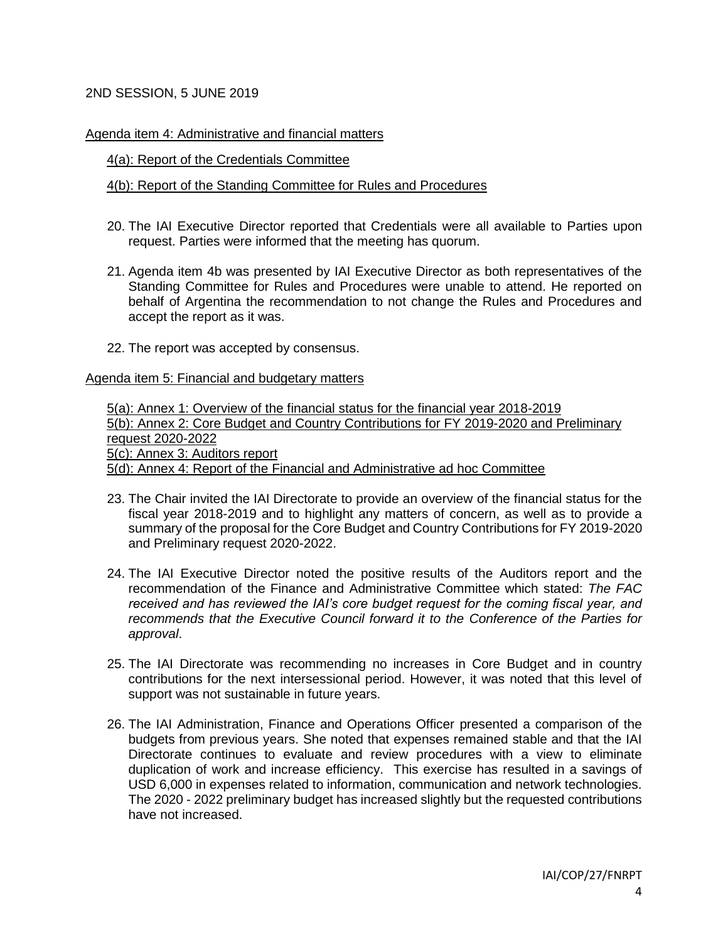## 2ND SESSION, 5 JUNE 2019

### Agenda item 4: Administrative and financial matters

### 4(a): Report of the Credentials Committee

## 4(b): Report of the Standing Committee for Rules and Procedures

- 20. The IAI Executive Director reported that Credentials were all available to Parties upon request. Parties were informed that the meeting has quorum.
- 21. Agenda item 4b was presented by IAI Executive Director as both representatives of the Standing Committee for Rules and Procedures were unable to attend. He reported on behalf of Argentina the recommendation to not change the Rules and Procedures and accept the report as it was.
- 22. The report was accepted by consensus.

### Agenda item 5: Financial and budgetary matters

5(a): Annex 1: Overview of the financial status for the financial year 2018-2019 5(b): Annex 2: Core Budget and Country Contributions for FY 2019-2020 and Preliminary request 2020-2022 5(c): Annex 3: Auditors report 5(d): Annex 4: Report of the Financial and Administrative ad hoc Committee

- 23. The Chair invited the IAI Directorate to provide an overview of the financial status for the fiscal year 2018-2019 and to highlight any matters of concern, as well as to provide a summary of the proposal for the Core Budget and Country Contributions for FY 2019-2020 and Preliminary request 2020-2022.
- 24. The IAI Executive Director noted the positive results of the Auditors report and the recommendation of the Finance and Administrative Committee which stated: *The FAC received and has reviewed the IAI's core budget request for the coming fiscal year, and recommends that the Executive Council forward it to the Conference of the Parties for approval*.
- 25. The IAI Directorate was recommending no increases in Core Budget and in country contributions for the next intersessional period. However, it was noted that this level of support was not sustainable in future years.
- 26. The IAI Administration, Finance and Operations Officer presented a comparison of the budgets from previous years. She noted that expenses remained stable and that the IAI Directorate continues to evaluate and review procedures with a view to eliminate duplication of work and increase efficiency. This exercise has resulted in a savings of USD 6,000 in expenses related to information, communication and network technologies. The 2020 - 2022 preliminary budget has increased slightly but the requested contributions have not increased.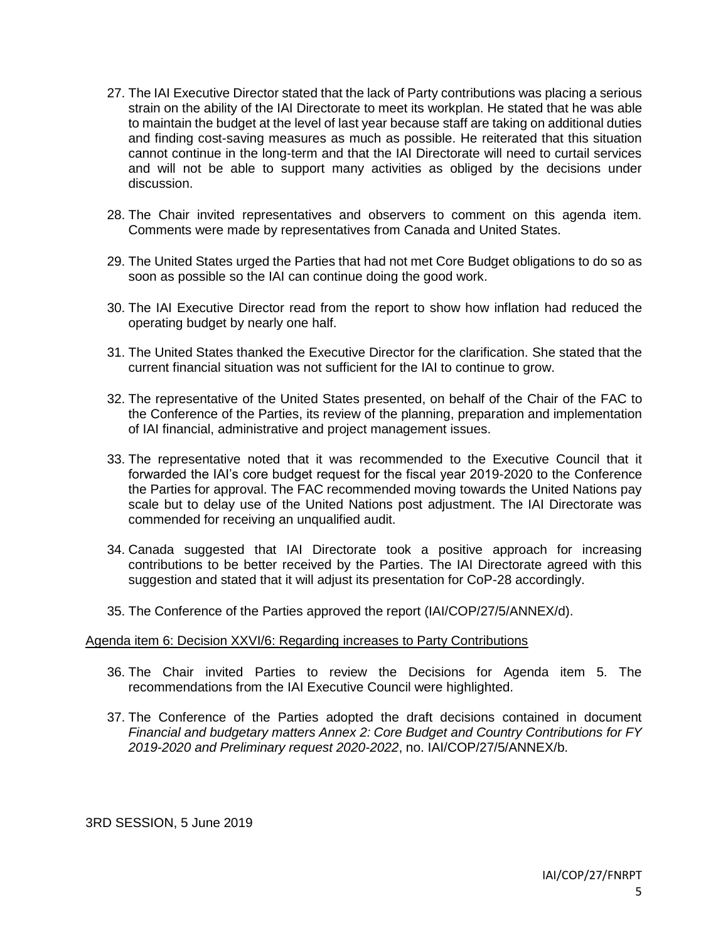- 27. The IAI Executive Director stated that the lack of Party contributions was placing a serious strain on the ability of the IAI Directorate to meet its workplan. He stated that he was able to maintain the budget at the level of last year because staff are taking on additional duties and finding cost-saving measures as much as possible. He reiterated that this situation cannot continue in the long-term and that the IAI Directorate will need to curtail services and will not be able to support many activities as obliged by the decisions under discussion.
- 28. The Chair invited representatives and observers to comment on this agenda item. Comments were made by representatives from Canada and United States.
- 29. The United States urged the Parties that had not met Core Budget obligations to do so as soon as possible so the IAI can continue doing the good work.
- 30. The IAI Executive Director read from the report to show how inflation had reduced the operating budget by nearly one half.
- 31. The United States thanked the Executive Director for the clarification. She stated that the current financial situation was not sufficient for the IAI to continue to grow.
- 32. The representative of the United States presented, on behalf of the Chair of the FAC to the Conference of the Parties, its review of the planning, preparation and implementation of IAI financial, administrative and project management issues.
- 33. The representative noted that it was recommended to the Executive Council that it forwarded the IAI's core budget request for the fiscal year 2019-2020 to the Conference the Parties for approval. The FAC recommended moving towards the United Nations pay scale but to delay use of the United Nations post adjustment. The IAI Directorate was commended for receiving an unqualified audit.
- 34. Canada suggested that IAI Directorate took a positive approach for increasing contributions to be better received by the Parties. The IAI Directorate agreed with this suggestion and stated that it will adjust its presentation for CoP-28 accordingly.
- 35. The Conference of the Parties approved the report (IAI/COP/27/5/ANNEX/d).

#### Agenda item 6: Decision XXVI/6: Regarding increases to Party Contributions

- 36. The Chair invited Parties to review the Decisions for Agenda item 5. The recommendations from the IAI Executive Council were highlighted.
- 37. The Conference of the Parties adopted the draft decisions contained in document *Financial and budgetary matters Annex 2: Core Budget and Country Contributions for FY 2019-2020 and Preliminary request 2020-2022*, no. IAI/COP/27/5/ANNEX/b.

3RD SESSION, 5 June 2019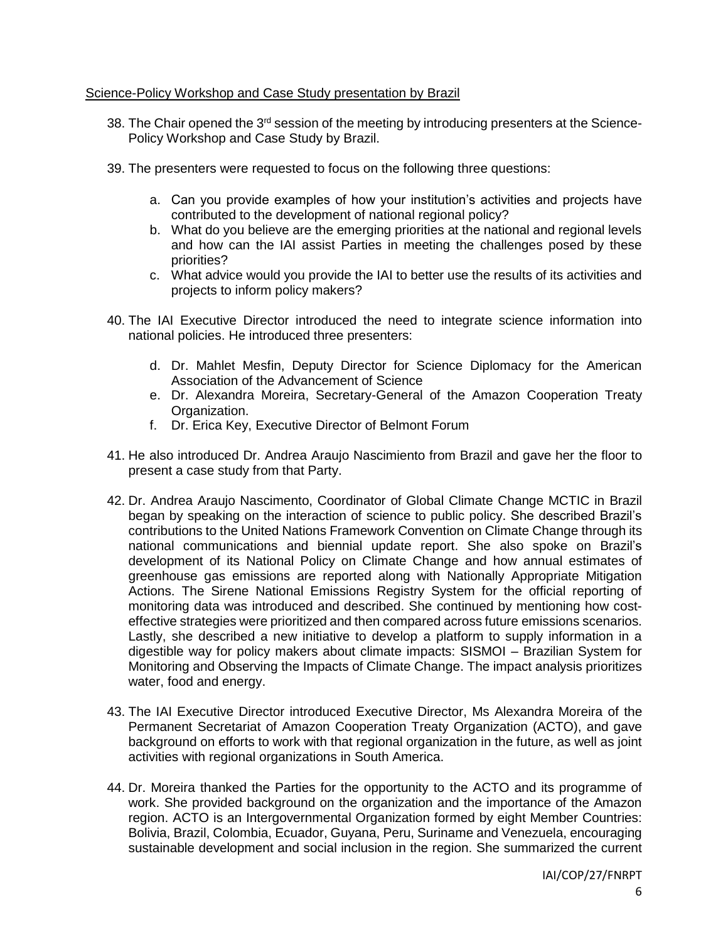## Science-Policy Workshop and Case Study presentation by Brazil

- 38. The Chair opened the 3<sup>rd</sup> session of the meeting by introducing presenters at the Science-Policy Workshop and Case Study by Brazil.
- 39. The presenters were requested to focus on the following three questions:
	- a. Can you provide examples of how your institution's activities and projects have contributed to the development of national regional policy?
	- b. What do you believe are the emerging priorities at the national and regional levels and how can the IAI assist Parties in meeting the challenges posed by these priorities?
	- c. What advice would you provide the IAI to better use the results of its activities and projects to inform policy makers?
- 40. The IAI Executive Director introduced the need to integrate science information into national policies. He introduced three presenters:
	- d. Dr. Mahlet Mesfin, Deputy Director for Science Diplomacy for the American Association of the Advancement of Science
	- e. Dr. Alexandra Moreira, Secretary-General of the Amazon Cooperation Treaty Organization.
	- f. Dr. Erica Key, Executive Director of Belmont Forum
- 41. He also introduced Dr. Andrea Araujo Nascimiento from Brazil and gave her the floor to present a case study from that Party.
- 42. Dr. Andrea Araujo Nascimento, Coordinator of Global Climate Change MCTIC in Brazil began by speaking on the interaction of science to public policy. She described Brazil's contributions to the United Nations Framework Convention on Climate Change through its national communications and biennial update report. She also spoke on Brazil's development of its National Policy on Climate Change and how annual estimates of greenhouse gas emissions are reported along with Nationally Appropriate Mitigation Actions. The Sirene National Emissions Registry System for the official reporting of monitoring data was introduced and described. She continued by mentioning how costeffective strategies were prioritized and then compared across future emissions scenarios. Lastly, she described a new initiative to develop a platform to supply information in a digestible way for policy makers about climate impacts: SISMOI – Brazilian System for Monitoring and Observing the Impacts of Climate Change. The impact analysis prioritizes water, food and energy.
- 43. The IAI Executive Director introduced Executive Director, Ms Alexandra Moreira of the Permanent Secretariat of Amazon Cooperation Treaty Organization (ACTO), and gave background on efforts to work with that regional organization in the future, as well as joint activities with regional organizations in South America.
- 44. Dr. Moreira thanked the Parties for the opportunity to the ACTO and its programme of work. She provided background on the organization and the importance of the Amazon region. ACTO is an Intergovernmental Organization formed by eight Member Countries: Bolivia, Brazil, Colombia, Ecuador, Guyana, Peru, Suriname and Venezuela, encouraging sustainable development and social inclusion in the region. She summarized the current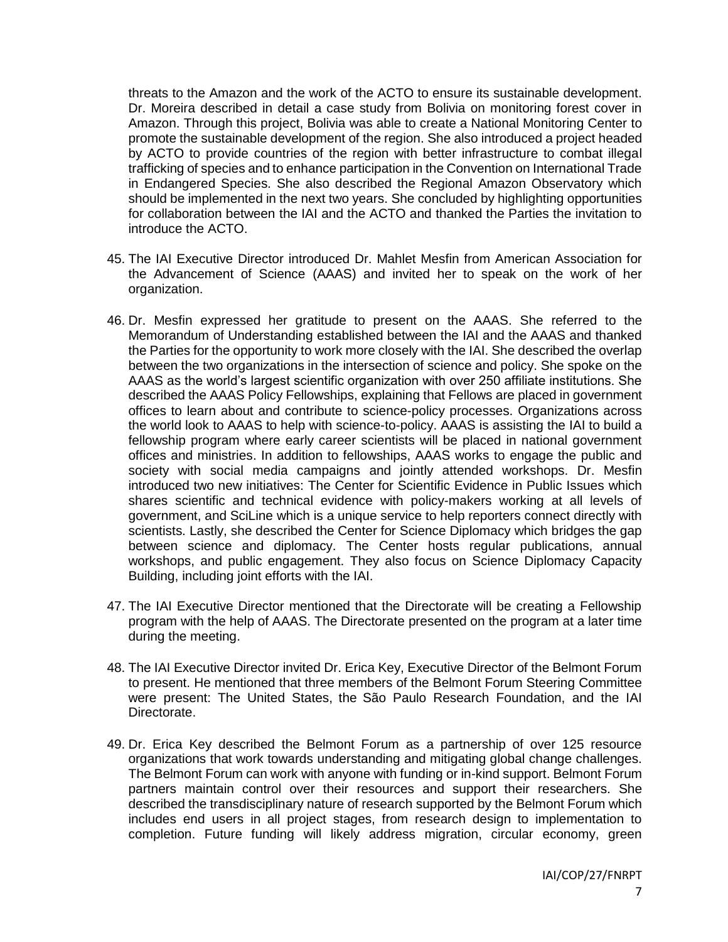threats to the Amazon and the work of the ACTO to ensure its sustainable development. Dr. Moreira described in detail a case study from Bolivia on monitoring forest cover in Amazon. Through this project, Bolivia was able to create a National Monitoring Center to promote the sustainable development of the region. She also introduced a project headed by ACTO to provide countries of the region with better infrastructure to combat illegal trafficking of species and to enhance participation in the Convention on International Trade in Endangered Species. She also described the Regional Amazon Observatory which should be implemented in the next two years. She concluded by highlighting opportunities for collaboration between the IAI and the ACTO and thanked the Parties the invitation to introduce the ACTO.

- 45. The IAI Executive Director introduced Dr. Mahlet Mesfin from American Association for the Advancement of Science (AAAS) and invited her to speak on the work of her organization.
- 46. Dr. Mesfin expressed her gratitude to present on the AAAS. She referred to the Memorandum of Understanding established between the IAI and the AAAS and thanked the Parties for the opportunity to work more closely with the IAI. She described the overlap between the two organizations in the intersection of science and policy. She spoke on the AAAS as the world's largest scientific organization with over 250 affiliate institutions. She described the AAAS Policy Fellowships, explaining that Fellows are placed in government offices to learn about and contribute to science-policy processes. Organizations across the world look to AAAS to help with science-to-policy. AAAS is assisting the IAI to build a fellowship program where early career scientists will be placed in national government offices and ministries. In addition to fellowships, AAAS works to engage the public and society with social media campaigns and jointly attended workshops. Dr. Mesfin introduced two new initiatives: The Center for Scientific Evidence in Public Issues which shares scientific and technical evidence with policy-makers working at all levels of government, and SciLine which is a unique service to help reporters connect directly with scientists. Lastly, she described the Center for Science Diplomacy which bridges the gap between science and diplomacy. The Center hosts regular publications, annual workshops, and public engagement. They also focus on Science Diplomacy Capacity Building, including joint efforts with the IAI.
- 47. The IAI Executive Director mentioned that the Directorate will be creating a Fellowship program with the help of AAAS. The Directorate presented on the program at a later time during the meeting.
- 48. The IAI Executive Director invited Dr. Erica Key, Executive Director of the Belmont Forum to present. He mentioned that three members of the Belmont Forum Steering Committee were present: The United States, the São Paulo Research Foundation, and the IAI Directorate.
- 49. Dr. Erica Key described the Belmont Forum as a partnership of over 125 resource organizations that work towards understanding and mitigating global change challenges. The Belmont Forum can work with anyone with funding or in-kind support. Belmont Forum partners maintain control over their resources and support their researchers. She described the transdisciplinary nature of research supported by the Belmont Forum which includes end users in all project stages, from research design to implementation to completion. Future funding will likely address migration, circular economy, green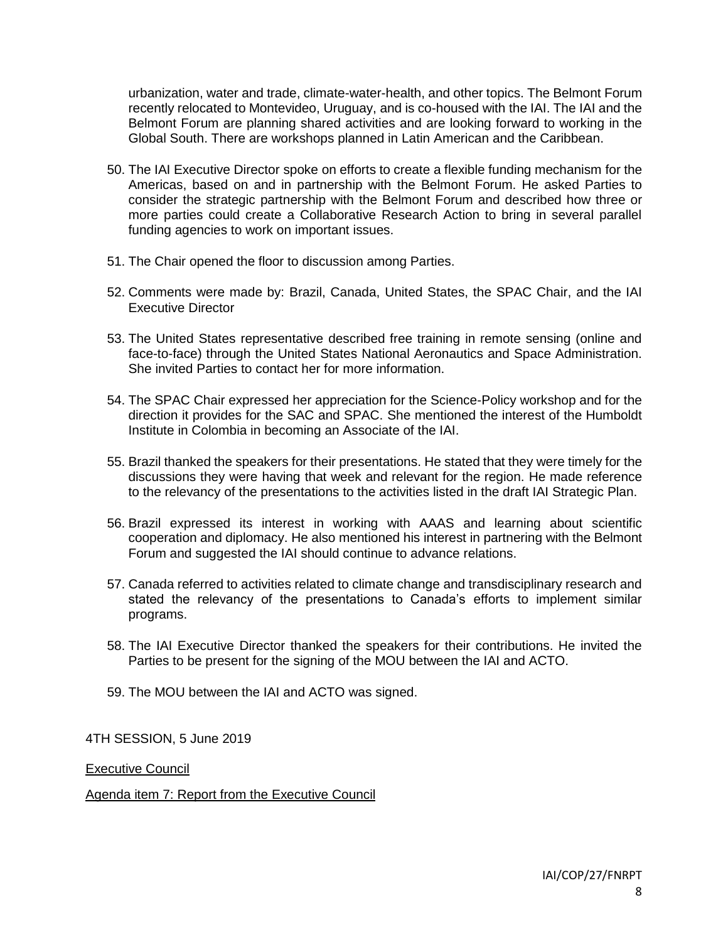urbanization, water and trade, climate-water-health, and other topics. The Belmont Forum recently relocated to Montevideo, Uruguay, and is co-housed with the IAI. The IAI and the Belmont Forum are planning shared activities and are looking forward to working in the Global South. There are workshops planned in Latin American and the Caribbean.

- 50. The IAI Executive Director spoke on efforts to create a flexible funding mechanism for the Americas, based on and in partnership with the Belmont Forum. He asked Parties to consider the strategic partnership with the Belmont Forum and described how three or more parties could create a Collaborative Research Action to bring in several parallel funding agencies to work on important issues.
- 51. The Chair opened the floor to discussion among Parties.
- 52. Comments were made by: Brazil, Canada, United States, the SPAC Chair, and the IAI Executive Director
- 53. The United States representative described free training in remote sensing (online and face-to-face) through the United States National Aeronautics and Space Administration. She invited Parties to contact her for more information.
- 54. The SPAC Chair expressed her appreciation for the Science-Policy workshop and for the direction it provides for the SAC and SPAC. She mentioned the interest of the Humboldt Institute in Colombia in becoming an Associate of the IAI.
- 55. Brazil thanked the speakers for their presentations. He stated that they were timely for the discussions they were having that week and relevant for the region. He made reference to the relevancy of the presentations to the activities listed in the draft IAI Strategic Plan.
- 56. Brazil expressed its interest in working with AAAS and learning about scientific cooperation and diplomacy. He also mentioned his interest in partnering with the Belmont Forum and suggested the IAI should continue to advance relations.
- 57. Canada referred to activities related to climate change and transdisciplinary research and stated the relevancy of the presentations to Canada's efforts to implement similar programs.
- 58. The IAI Executive Director thanked the speakers for their contributions. He invited the Parties to be present for the signing of the MOU between the IAI and ACTO.
- 59. The MOU between the IAI and ACTO was signed.

4TH SESSION, 5 June 2019

Executive Council

Agenda item 7: Report from the Executive Council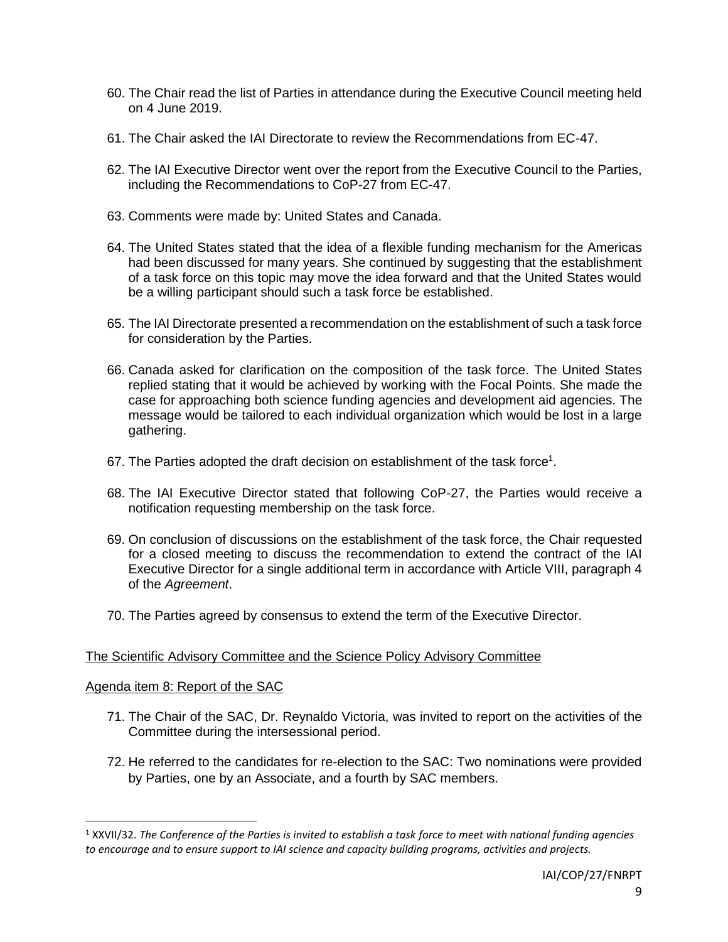- 60. The Chair read the list of Parties in attendance during the Executive Council meeting held on 4 June 2019.
- 61. The Chair asked the IAI Directorate to review the Recommendations from EC-47.
- 62. The IAI Executive Director went over the report from the Executive Council to the Parties, including the Recommendations to CoP-27 from EC-47.
- 63. Comments were made by: United States and Canada.
- 64. The United States stated that the idea of a flexible funding mechanism for the Americas had been discussed for many years. She continued by suggesting that the establishment of a task force on this topic may move the idea forward and that the United States would be a willing participant should such a task force be established.
- 65. The IAI Directorate presented a recommendation on the establishment of such a task force for consideration by the Parties.
- 66. Canada asked for clarification on the composition of the task force. The United States replied stating that it would be achieved by working with the Focal Points. She made the case for approaching both science funding agencies and development aid agencies. The message would be tailored to each individual organization which would be lost in a large gathering.
- 67. The Parties adopted the draft decision on establishment of the task force<sup>1</sup>.
- 68. The IAI Executive Director stated that following CoP-27, the Parties would receive a notification requesting membership on the task force.
- 69. On conclusion of discussions on the establishment of the task force, the Chair requested for a closed meeting to discuss the recommendation to extend the contract of the IAI Executive Director for a single additional term in accordance with Article VIII, paragraph 4 of the *Agreement*.
- 70. The Parties agreed by consensus to extend the term of the Executive Director.

## The Scientific Advisory Committee and the Science Policy Advisory Committee

#### Agenda item 8: Report of the SAC

 $\overline{\phantom{a}}$ 

- 71. The Chair of the SAC, Dr. Reynaldo Victoria, was invited to report on the activities of the Committee during the intersessional period.
- 72. He referred to the candidates for re-election to the SAC: Two nominations were provided by Parties, one by an Associate, and a fourth by SAC members.

<sup>1</sup> XXVII/32. *The Conference of the Parties is invited to establish a task force to meet with national funding agencies to encourage and to ensure support to IAI science and capacity building programs, activities and projects.*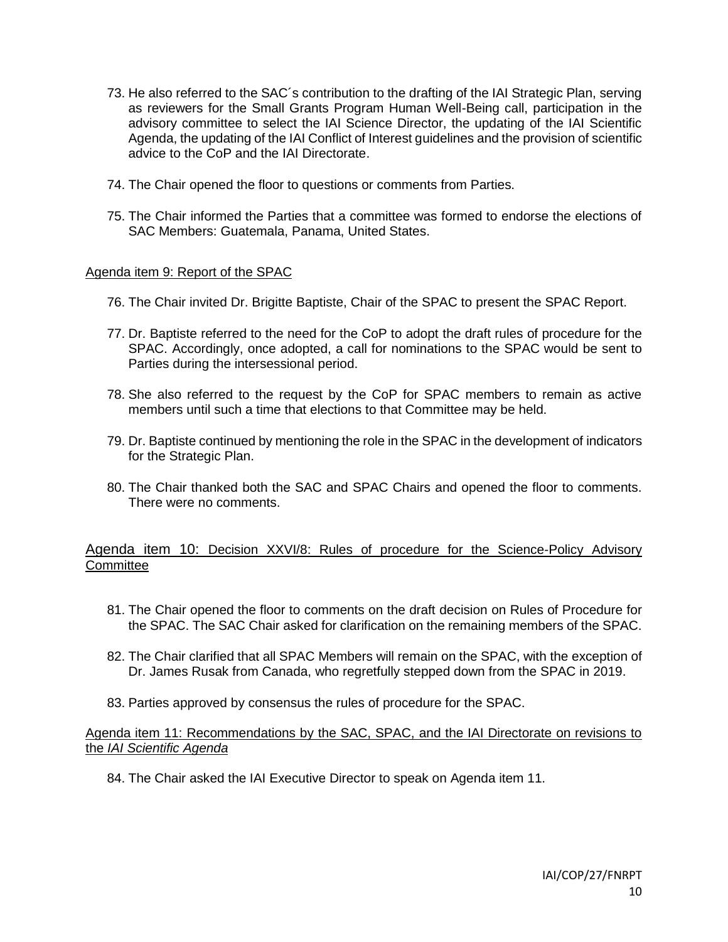- 73. He also referred to the SAC´s contribution to the drafting of the IAI Strategic Plan, serving as reviewers for the Small Grants Program Human Well-Being call, participation in the advisory committee to select the IAI Science Director, the updating of the IAI Scientific Agenda, the updating of the IAI Conflict of Interest guidelines and the provision of scientific advice to the CoP and the IAI Directorate.
- 74. The Chair opened the floor to questions or comments from Parties.
- 75. The Chair informed the Parties that a committee was formed to endorse the elections of SAC Members: Guatemala, Panama, United States.

### Agenda item 9: Report of the SPAC

- 76. The Chair invited Dr. Brigitte Baptiste, Chair of the SPAC to present the SPAC Report.
- 77. Dr. Baptiste referred to the need for the CoP to adopt the draft rules of procedure for the SPAC. Accordingly, once adopted, a call for nominations to the SPAC would be sent to Parties during the intersessional period.
- 78. She also referred to the request by the CoP for SPAC members to remain as active members until such a time that elections to that Committee may be held.
- 79. Dr. Baptiste continued by mentioning the role in the SPAC in the development of indicators for the Strategic Plan.
- 80. The Chair thanked both the SAC and SPAC Chairs and opened the floor to comments. There were no comments.

## Agenda item 10: Decision XXVI/8: Rules of procedure for the Science-Policy Advisory **Committee**

- 81. The Chair opened the floor to comments on the draft decision on Rules of Procedure for the SPAC. The SAC Chair asked for clarification on the remaining members of the SPAC.
- 82. The Chair clarified that all SPAC Members will remain on the SPAC, with the exception of Dr. James Rusak from Canada, who regretfully stepped down from the SPAC in 2019.
- 83. Parties approved by consensus the rules of procedure for the SPAC.

## Agenda item 11: Recommendations by the SAC, SPAC, and the IAI Directorate on revisions to the *IAI Scientific Agenda*

84. The Chair asked the IAI Executive Director to speak on Agenda item 11.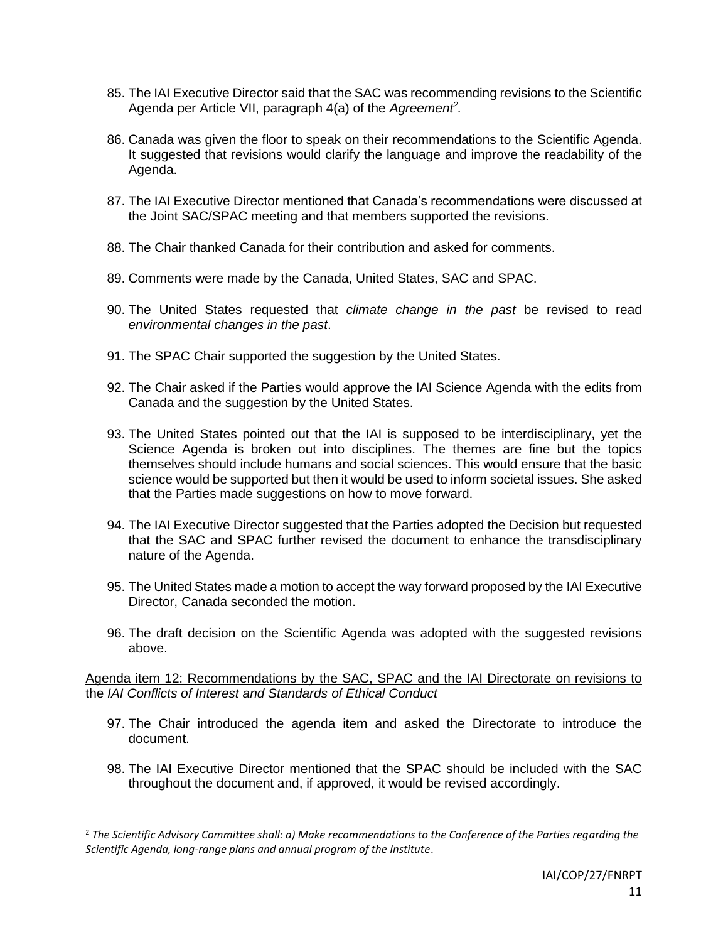- 85. The IAI Executive Director said that the SAC was recommending revisions to the Scientific Agenda per Article VII, paragraph 4(a) of the *Agreement<sup>2</sup> .*
- 86. Canada was given the floor to speak on their recommendations to the Scientific Agenda. It suggested that revisions would clarify the language and improve the readability of the Agenda.
- 87. The IAI Executive Director mentioned that Canada's recommendations were discussed at the Joint SAC/SPAC meeting and that members supported the revisions.
- 88. The Chair thanked Canada for their contribution and asked for comments.
- 89. Comments were made by the Canada, United States, SAC and SPAC.
- 90. The United States requested that *climate change in the past* be revised to read *environmental changes in the past*.
- 91. The SPAC Chair supported the suggestion by the United States.
- 92. The Chair asked if the Parties would approve the IAI Science Agenda with the edits from Canada and the suggestion by the United States.
- 93. The United States pointed out that the IAI is supposed to be interdisciplinary, yet the Science Agenda is broken out into disciplines. The themes are fine but the topics themselves should include humans and social sciences. This would ensure that the basic science would be supported but then it would be used to inform societal issues. She asked that the Parties made suggestions on how to move forward.
- 94. The IAI Executive Director suggested that the Parties adopted the Decision but requested that the SAC and SPAC further revised the document to enhance the transdisciplinary nature of the Agenda.
- 95. The United States made a motion to accept the way forward proposed by the IAI Executive Director, Canada seconded the motion.
- 96. The draft decision on the Scientific Agenda was adopted with the suggested revisions above.

Agenda item 12: Recommendations by the SAC, SPAC and the IAI Directorate on revisions to the *IAI Conflicts of Interest and Standards of Ethical Conduct* 

- 97. The Chair introduced the agenda item and asked the Directorate to introduce the document.
- 98. The IAI Executive Director mentioned that the SPAC should be included with the SAC throughout the document and, if approved, it would be revised accordingly.

 $\overline{\phantom{a}}$ 

<sup>2</sup> *The Scientific Advisory Committee shall: a) Make recommendations to the Conference of the Parties regarding the Scientific Agenda, long-range plans and annual program of the Institute*.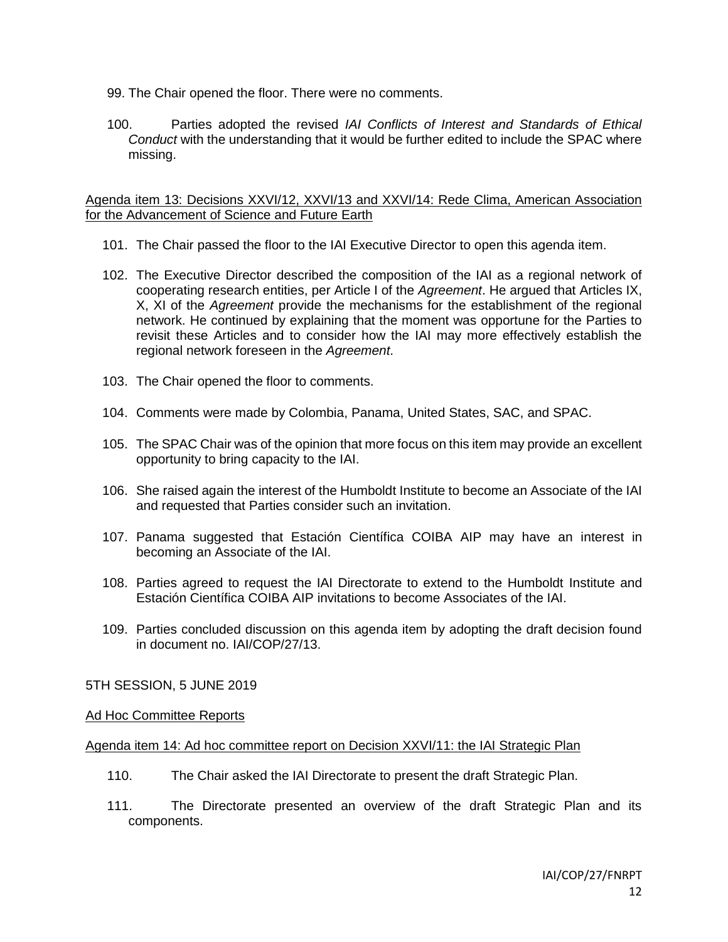- 99. The Chair opened the floor. There were no comments.
- 100. Parties adopted the revised *IAI Conflicts of Interest and Standards of Ethical Conduct* with the understanding that it would be further edited to include the SPAC where missing.

Agenda item 13: Decisions XXVI/12, XXVI/13 and XXVI/14: Rede Clima, American Association for the Advancement of Science and Future Earth

- 101. The Chair passed the floor to the IAI Executive Director to open this agenda item.
- 102. The Executive Director described the composition of the IAI as a regional network of cooperating research entities, per Article I of the *Agreement*. He argued that Articles IX, X, XI of the *Agreement* provide the mechanisms for the establishment of the regional network. He continued by explaining that the moment was opportune for the Parties to revisit these Articles and to consider how the IAI may more effectively establish the regional network foreseen in the *Agreement*.
- 103. The Chair opened the floor to comments.
- 104. Comments were made by Colombia, Panama, United States, SAC, and SPAC.
- 105. The SPAC Chair was of the opinion that more focus on this item may provide an excellent opportunity to bring capacity to the IAI.
- 106. She raised again the interest of the Humboldt Institute to become an Associate of the IAI and requested that Parties consider such an invitation.
- 107. Panama suggested that Estación Científica COIBA AIP may have an interest in becoming an Associate of the IAI.
- 108. Parties agreed to request the IAI Directorate to extend to the Humboldt Institute and Estación Científica COIBA AIP invitations to become Associates of the IAI.
- 109. Parties concluded discussion on this agenda item by adopting the draft decision found in document no. IAI/COP/27/13.

5TH SESSION, 5 JUNE 2019

#### Ad Hoc Committee Reports

#### Agenda item 14: Ad hoc committee report on Decision XXVI/11: the IAI Strategic Plan

- 110. The Chair asked the IAI Directorate to present the draft Strategic Plan.
- 111. The Directorate presented an overview of the draft Strategic Plan and its components.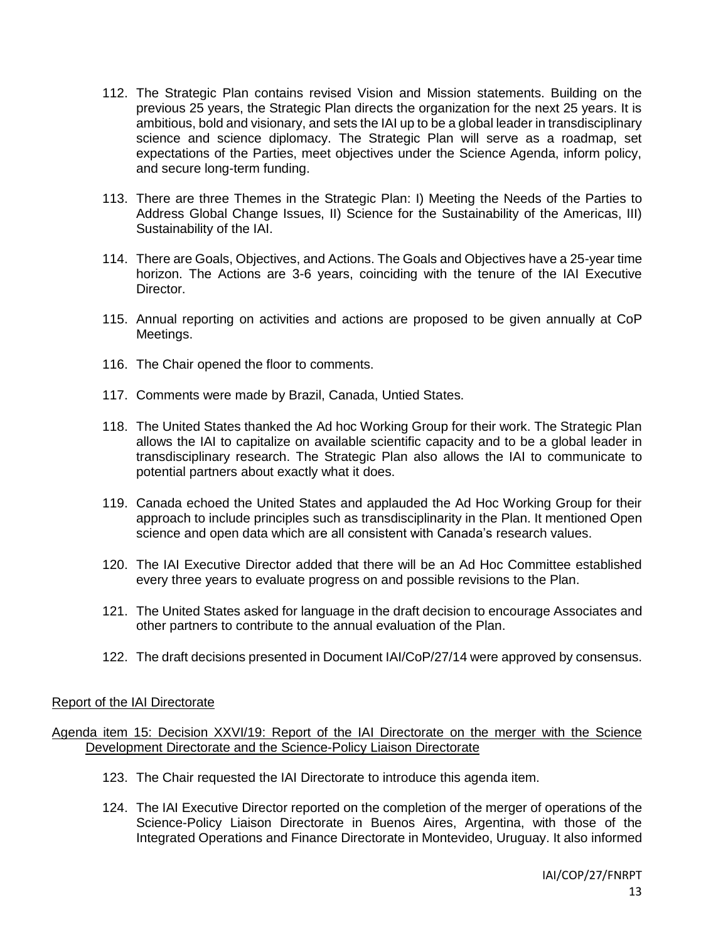- 112. The Strategic Plan contains revised Vision and Mission statements. Building on the previous 25 years, the Strategic Plan directs the organization for the next 25 years. It is ambitious, bold and visionary, and sets the IAI up to be a global leader in transdisciplinary science and science diplomacy. The Strategic Plan will serve as a roadmap, set expectations of the Parties, meet objectives under the Science Agenda, inform policy, and secure long-term funding.
- 113. There are three Themes in the Strategic Plan: I) Meeting the Needs of the Parties to Address Global Change Issues, II) Science for the Sustainability of the Americas, III) Sustainability of the IAI.
- 114. There are Goals, Objectives, and Actions. The Goals and Objectives have a 25-year time horizon. The Actions are 3-6 years, coinciding with the tenure of the IAI Executive Director.
- 115. Annual reporting on activities and actions are proposed to be given annually at CoP Meetings.
- 116. The Chair opened the floor to comments.
- 117. Comments were made by Brazil, Canada, Untied States.
- 118. The United States thanked the Ad hoc Working Group for their work. The Strategic Plan allows the IAI to capitalize on available scientific capacity and to be a global leader in transdisciplinary research. The Strategic Plan also allows the IAI to communicate to potential partners about exactly what it does.
- 119. Canada echoed the United States and applauded the Ad Hoc Working Group for their approach to include principles such as transdisciplinarity in the Plan. It mentioned Open science and open data which are all consistent with Canada's research values.
- 120. The IAI Executive Director added that there will be an Ad Hoc Committee established every three years to evaluate progress on and possible revisions to the Plan.
- 121. The United States asked for language in the draft decision to encourage Associates and other partners to contribute to the annual evaluation of the Plan.
- 122. The draft decisions presented in Document IAI/CoP/27/14 were approved by consensus.

## Report of the IAI Directorate

## Agenda item 15: Decision XXVI/19: Report of the IAI Directorate on the merger with the Science Development Directorate and the Science-Policy Liaison Directorate

- 123. The Chair requested the IAI Directorate to introduce this agenda item.
- 124. The IAI Executive Director reported on the completion of the merger of operations of the Science-Policy Liaison Directorate in Buenos Aires, Argentina, with those of the Integrated Operations and Finance Directorate in Montevideo, Uruguay. It also informed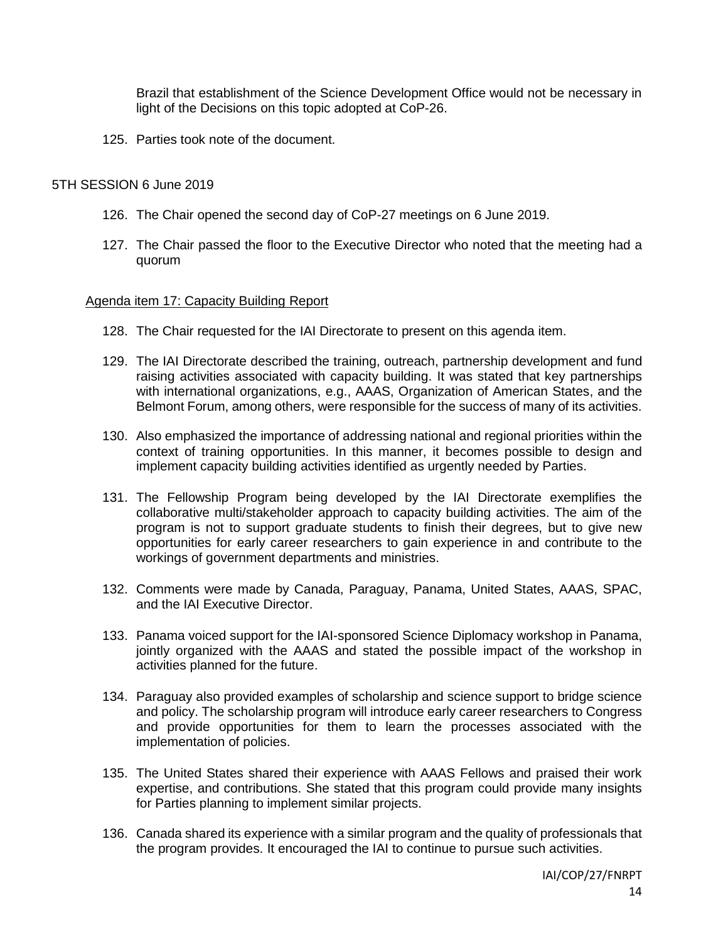Brazil that establishment of the Science Development Office would not be necessary in light of the Decisions on this topic adopted at CoP-26.

125. Parties took note of the document.

### 5TH SESSION 6 June 2019

- 126. The Chair opened the second day of CoP-27 meetings on 6 June 2019.
- 127. The Chair passed the floor to the Executive Director who noted that the meeting had a quorum

### Agenda item 17: Capacity Building Report

- 128. The Chair requested for the IAI Directorate to present on this agenda item.
- 129. The IAI Directorate described the training, outreach, partnership development and fund raising activities associated with capacity building. It was stated that key partnerships with international organizations, e.g., AAAS, Organization of American States, and the Belmont Forum, among others, were responsible for the success of many of its activities.
- 130. Also emphasized the importance of addressing national and regional priorities within the context of training opportunities. In this manner, it becomes possible to design and implement capacity building activities identified as urgently needed by Parties.
- 131. The Fellowship Program being developed by the IAI Directorate exemplifies the collaborative multi/stakeholder approach to capacity building activities. The aim of the program is not to support graduate students to finish their degrees, but to give new opportunities for early career researchers to gain experience in and contribute to the workings of government departments and ministries.
- 132. Comments were made by Canada, Paraguay, Panama, United States, AAAS, SPAC, and the IAI Executive Director.
- 133. Panama voiced support for the IAI-sponsored Science Diplomacy workshop in Panama, jointly organized with the AAAS and stated the possible impact of the workshop in activities planned for the future.
- 134. Paraguay also provided examples of scholarship and science support to bridge science and policy. The scholarship program will introduce early career researchers to Congress and provide opportunities for them to learn the processes associated with the implementation of policies.
- 135. The United States shared their experience with AAAS Fellows and praised their work expertise, and contributions. She stated that this program could provide many insights for Parties planning to implement similar projects.
- 136. Canada shared its experience with a similar program and the quality of professionals that the program provides. It encouraged the IAI to continue to pursue such activities.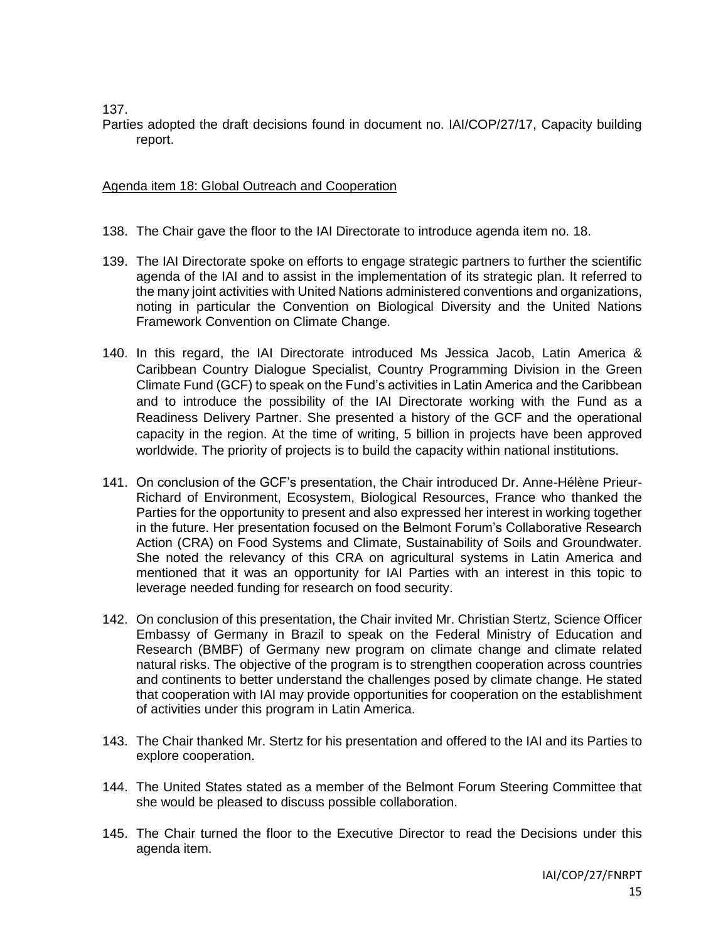137.

Parties adopted the draft decisions found in document no. IAI/COP/27/17, Capacity building report.

# Agenda item 18: Global Outreach and Cooperation

- 138. The Chair gave the floor to the IAI Directorate to introduce agenda item no. 18.
- 139. The IAI Directorate spoke on efforts to engage strategic partners to further the scientific agenda of the IAI and to assist in the implementation of its strategic plan. It referred to the many joint activities with United Nations administered conventions and organizations, noting in particular the Convention on Biological Diversity and the United Nations Framework Convention on Climate Change.
- 140. In this regard, the IAI Directorate introduced Ms Jessica Jacob, Latin America & Caribbean Country Dialogue Specialist, Country Programming Division in the Green Climate Fund (GCF) to speak on the Fund's activities in Latin America and the Caribbean and to introduce the possibility of the IAI Directorate working with the Fund as a Readiness Delivery Partner. She presented a history of the GCF and the operational capacity in the region. At the time of writing, 5 billion in projects have been approved worldwide. The priority of projects is to build the capacity within national institutions.
- 141. On conclusion of the GCF's presentation, the Chair introduced Dr. Anne-Hélène Prieur-Richard of Environment, Ecosystem, Biological Resources, France who thanked the Parties for the opportunity to present and also expressed her interest in working together in the future. Her presentation focused on the Belmont Forum's Collaborative Research Action (CRA) on Food Systems and Climate, Sustainability of Soils and Groundwater. She noted the relevancy of this CRA on agricultural systems in Latin America and mentioned that it was an opportunity for IAI Parties with an interest in this topic to leverage needed funding for research on food security.
- 142. On conclusion of this presentation, the Chair invited Mr. Christian Stertz, Science Officer Embassy of Germany in Brazil to speak on the Federal Ministry of Education and Research (BMBF) of Germany new program on climate change and climate related natural risks. The objective of the program is to strengthen cooperation across countries and continents to better understand the challenges posed by climate change. He stated that cooperation with IAI may provide opportunities for cooperation on the establishment of activities under this program in Latin America.
- 143. The Chair thanked Mr. Stertz for his presentation and offered to the IAI and its Parties to explore cooperation.
- 144. The United States stated as a member of the Belmont Forum Steering Committee that she would be pleased to discuss possible collaboration.
- 145. The Chair turned the floor to the Executive Director to read the Decisions under this agenda item.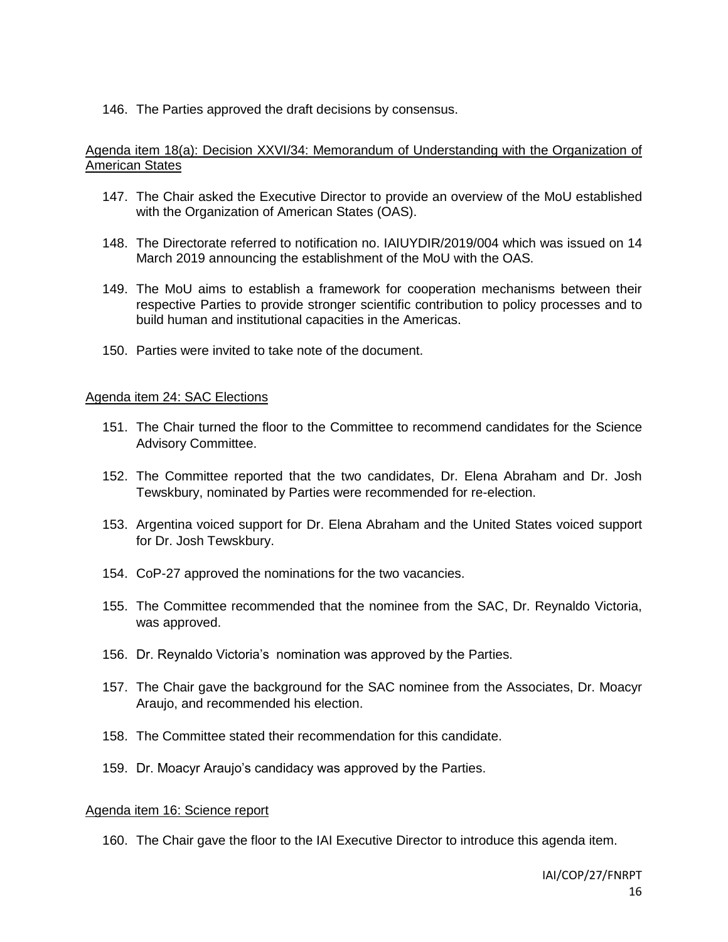146. The Parties approved the draft decisions by consensus.

## Agenda item 18(a): Decision XXVI/34: Memorandum of Understanding with the Organization of American States

- 147. The Chair asked the Executive Director to provide an overview of the MoU established with the Organization of American States (OAS).
- 148. The Directorate referred to notification no. IAIUYDIR/2019/004 which was issued on 14 March 2019 announcing the establishment of the MoU with the OAS.
- 149. The MoU aims to establish a framework for cooperation mechanisms between their respective Parties to provide stronger scientific contribution to policy processes and to build human and institutional capacities in the Americas.
- 150. Parties were invited to take note of the document.

### Agenda item 24: SAC Elections

- 151. The Chair turned the floor to the Committee to recommend candidates for the Science Advisory Committee.
- 152. The Committee reported that the two candidates, Dr. Elena Abraham and Dr. Josh Tewskbury, nominated by Parties were recommended for re-election.
- 153. Argentina voiced support for Dr. Elena Abraham and the United States voiced support for Dr. Josh Tewskbury.
- 154. CoP-27 approved the nominations for the two vacancies.
- 155. The Committee recommended that the nominee from the SAC, Dr. Reynaldo Victoria, was approved.
- 156. Dr. Reynaldo Victoria's nomination was approved by the Parties.
- 157. The Chair gave the background for the SAC nominee from the Associates, Dr. Moacyr Araujo, and recommended his election.
- 158. The Committee stated their recommendation for this candidate.
- 159. Dr. Moacyr Araujo's candidacy was approved by the Parties.

#### Agenda item 16: Science report

160. The Chair gave the floor to the IAI Executive Director to introduce this agenda item.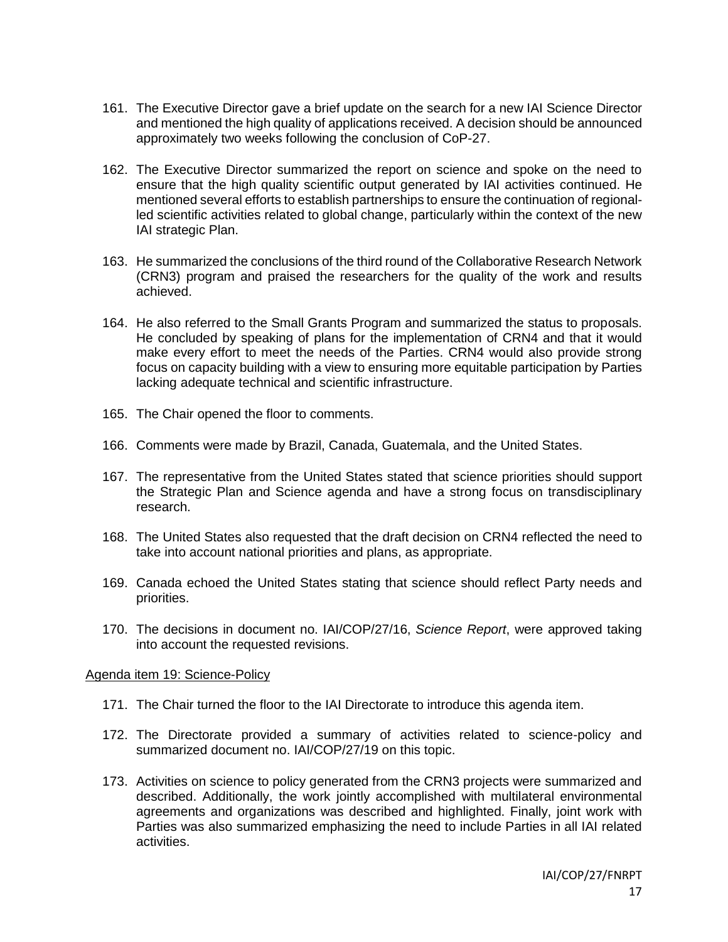- 161. The Executive Director gave a brief update on the search for a new IAI Science Director and mentioned the high quality of applications received. A decision should be announced approximately two weeks following the conclusion of CoP-27.
- 162. The Executive Director summarized the report on science and spoke on the need to ensure that the high quality scientific output generated by IAI activities continued. He mentioned several efforts to establish partnerships to ensure the continuation of regionalled scientific activities related to global change, particularly within the context of the new IAI strategic Plan.
- 163. He summarized the conclusions of the third round of the Collaborative Research Network (CRN3) program and praised the researchers for the quality of the work and results achieved.
- 164. He also referred to the Small Grants Program and summarized the status to proposals. He concluded by speaking of plans for the implementation of CRN4 and that it would make every effort to meet the needs of the Parties. CRN4 would also provide strong focus on capacity building with a view to ensuring more equitable participation by Parties lacking adequate technical and scientific infrastructure.
- 165. The Chair opened the floor to comments.
- 166. Comments were made by Brazil, Canada, Guatemala, and the United States.
- 167. The representative from the United States stated that science priorities should support the Strategic Plan and Science agenda and have a strong focus on transdisciplinary research.
- 168. The United States also requested that the draft decision on CRN4 reflected the need to take into account national priorities and plans, as appropriate.
- 169. Canada echoed the United States stating that science should reflect Party needs and priorities.
- 170. The decisions in document no. IAI/COP/27/16, *Science Report*, were approved taking into account the requested revisions.

#### Agenda item 19: Science-Policy

- 171. The Chair turned the floor to the IAI Directorate to introduce this agenda item.
- 172. The Directorate provided a summary of activities related to science-policy and summarized document no. IAI/COP/27/19 on this topic.
- 173. Activities on science to policy generated from the CRN3 projects were summarized and described. Additionally, the work jointly accomplished with multilateral environmental agreements and organizations was described and highlighted. Finally, joint work with Parties was also summarized emphasizing the need to include Parties in all IAI related activities.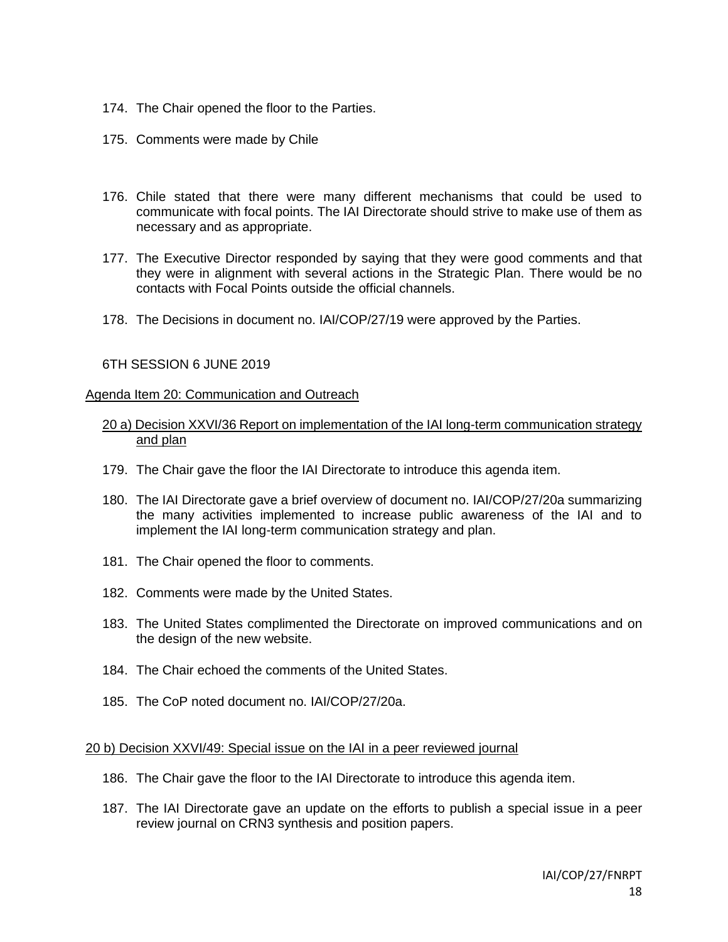- 174. The Chair opened the floor to the Parties.
- 175. Comments were made by Chile
- 176. Chile stated that there were many different mechanisms that could be used to communicate with focal points. The IAI Directorate should strive to make use of them as necessary and as appropriate.
- 177. The Executive Director responded by saying that they were good comments and that they were in alignment with several actions in the Strategic Plan. There would be no contacts with Focal Points outside the official channels.
- 178. The Decisions in document no. IAI/COP/27/19 were approved by the Parties.

### 6TH SESSION 6 JUNE 2019

#### Agenda Item 20: Communication and Outreach

### 20 a) Decision XXVI/36 Report on implementation of the IAI long-term communication strategy and plan

- 179. The Chair gave the floor the IAI Directorate to introduce this agenda item.
- 180. The IAI Directorate gave a brief overview of document no. IAI/COP/27/20a summarizing the many activities implemented to increase public awareness of the IAI and to implement the IAI long-term communication strategy and plan.
- 181. The Chair opened the floor to comments.
- 182. Comments were made by the United States.
- 183. The United States complimented the Directorate on improved communications and on the design of the new website.
- 184. The Chair echoed the comments of the United States.
- 185. The CoP noted document no. IAI/COP/27/20a.

#### 20 b) Decision XXVI/49: Special issue on the IAI in a peer reviewed journal

- 186. The Chair gave the floor to the IAI Directorate to introduce this agenda item.
- 187. The IAI Directorate gave an update on the efforts to publish a special issue in a peer review journal on CRN3 synthesis and position papers.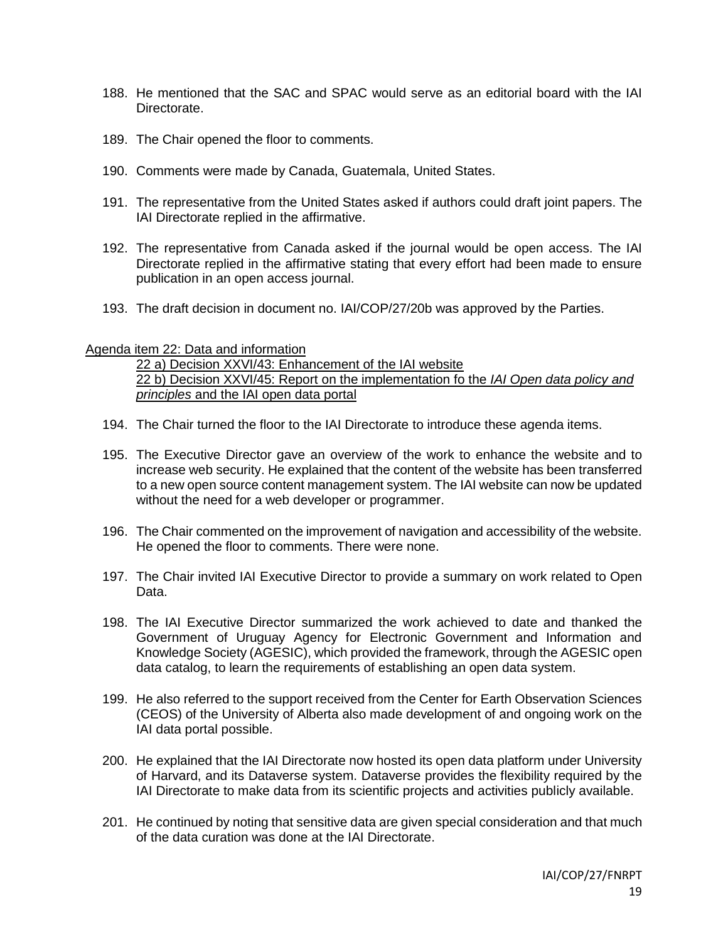- 188. He mentioned that the SAC and SPAC would serve as an editorial board with the IAI Directorate.
- 189. The Chair opened the floor to comments.
- 190. Comments were made by Canada, Guatemala, United States.
- 191. The representative from the United States asked if authors could draft joint papers. The IAI Directorate replied in the affirmative.
- 192. The representative from Canada asked if the journal would be open access. The IAI Directorate replied in the affirmative stating that every effort had been made to ensure publication in an open access journal.
- 193. The draft decision in document no. IAI/COP/27/20b was approved by the Parties.

### Agenda item 22: Data and information

22 a) Decision XXVI/43: Enhancement of the IAI website 22 b) Decision XXVI/45: Report on the implementation fo the *IAI Open data policy and principles* and the IAI open data portal

- 194. The Chair turned the floor to the IAI Directorate to introduce these agenda items.
- 195. The Executive Director gave an overview of the work to enhance the website and to increase web security. He explained that the content of the website has been transferred to a new open source content management system. The IAI website can now be updated without the need for a web developer or programmer.
- 196. The Chair commented on the improvement of navigation and accessibility of the website. He opened the floor to comments. There were none.
- 197. The Chair invited IAI Executive Director to provide a summary on work related to Open Data.
- 198. The IAI Executive Director summarized the work achieved to date and thanked the Government of Uruguay Agency for Electronic Government and Information and Knowledge Society (AGESIC), which provided the framework, through the AGESIC open data catalog, to learn the requirements of establishing an open data system.
- 199. He also referred to the support received from the Center for Earth Observation Sciences (CEOS) of the University of Alberta also made development of and ongoing work on the IAI data portal possible.
- 200. He explained that the IAI Directorate now hosted its open data platform under University of Harvard, and its Dataverse system. Dataverse provides the flexibility required by the IAI Directorate to make data from its scientific projects and activities publicly available.
- 201. He continued by noting that sensitive data are given special consideration and that much of the data curation was done at the IAI Directorate.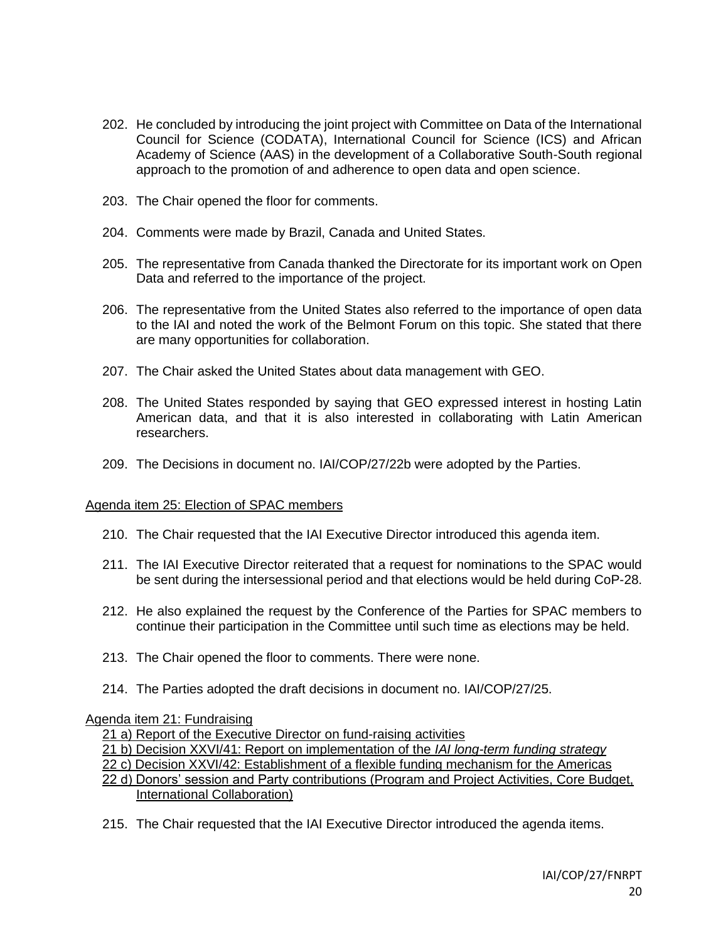- 202. He concluded by introducing the joint project with Committee on Data of the International Council for Science (CODATA), International Council for Science (ICS) and African Academy of Science (AAS) in the development of a Collaborative South-South regional approach to the promotion of and adherence to open data and open science.
- 203. The Chair opened the floor for comments.
- 204. Comments were made by Brazil, Canada and United States.
- 205. The representative from Canada thanked the Directorate for its important work on Open Data and referred to the importance of the project.
- 206. The representative from the United States also referred to the importance of open data to the IAI and noted the work of the Belmont Forum on this topic. She stated that there are many opportunities for collaboration.
- 207. The Chair asked the United States about data management with GEO.
- 208. The United States responded by saying that GEO expressed interest in hosting Latin American data, and that it is also interested in collaborating with Latin American researchers.
- 209. The Decisions in document no. IAI/COP/27/22b were adopted by the Parties.

### Agenda item 25: Election of SPAC members

- 210. The Chair requested that the IAI Executive Director introduced this agenda item.
- 211. The IAI Executive Director reiterated that a request for nominations to the SPAC would be sent during the intersessional period and that elections would be held during CoP-28.
- 212. He also explained the request by the Conference of the Parties for SPAC members to continue their participation in the Committee until such time as elections may be held.
- 213. The Chair opened the floor to comments. There were none.
- 214. The Parties adopted the draft decisions in document no. IAI/COP/27/25.

#### Agenda item 21: Fundraising

21 a) Report of the Executive Director on fund-raising activities

21 b) Decision XXVI/41: Report on implementation of the *IAI long-term funding strategy*

22 c) Decision XXVI/42: Establishment of a flexible funding mechanism for the Americas

- 22 d) Donors' session and Party contributions (Program and Project Activities, Core Budget, International Collaboration)
- 215. The Chair requested that the IAI Executive Director introduced the agenda items.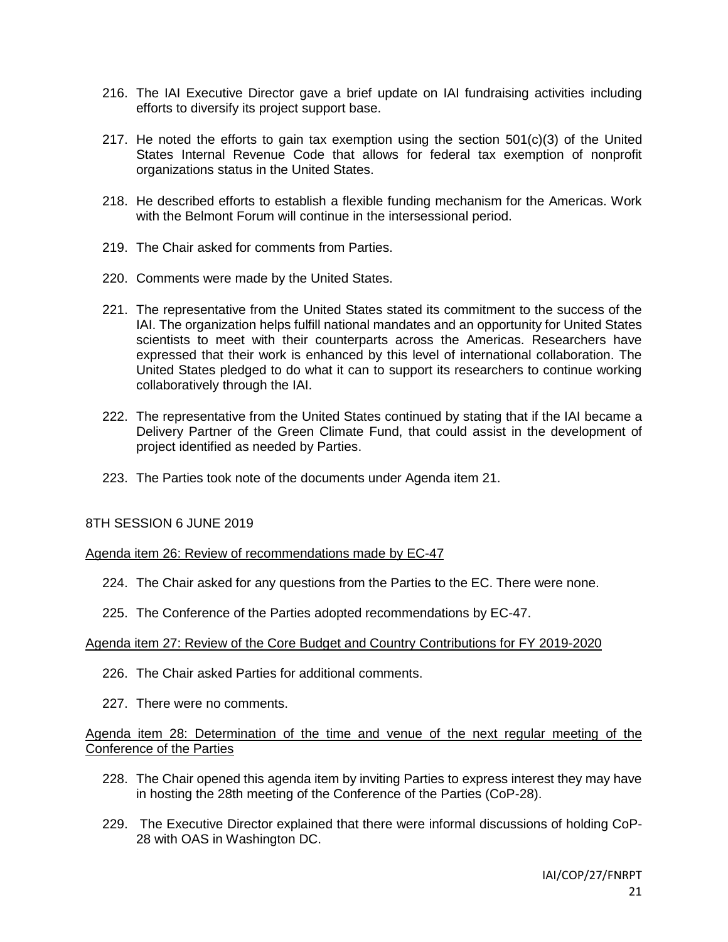- 216. The IAI Executive Director gave a brief update on IAI fundraising activities including efforts to diversify its project support base.
- 217. He noted the efforts to gain tax exemption using the section  $501(c)(3)$  of the United States Internal Revenue Code that allows for federal tax exemption of nonprofit organizations status in the United States.
- 218. He described efforts to establish a flexible funding mechanism for the Americas. Work with the Belmont Forum will continue in the intersessional period.
- 219. The Chair asked for comments from Parties.
- 220. Comments were made by the United States.
- 221. The representative from the United States stated its commitment to the success of the IAI. The organization helps fulfill national mandates and an opportunity for United States scientists to meet with their counterparts across the Americas. Researchers have expressed that their work is enhanced by this level of international collaboration. The United States pledged to do what it can to support its researchers to continue working collaboratively through the IAI.
- 222. The representative from the United States continued by stating that if the IAI became a Delivery Partner of the Green Climate Fund, that could assist in the development of project identified as needed by Parties.
- 223. The Parties took note of the documents under Agenda item 21.

## 8TH SESSION 6 JUNE 2019

#### Agenda item 26: Review of recommendations made by EC-47

- 224. The Chair asked for any questions from the Parties to the EC. There were none.
- 225. The Conference of the Parties adopted recommendations by EC-47.

#### Agenda item 27: Review of the Core Budget and Country Contributions for FY 2019-2020

- 226. The Chair asked Parties for additional comments.
- 227. There were no comments.

# Agenda item 28: Determination of the time and venue of the next regular meeting of the Conference of the Parties

- 228. The Chair opened this agenda item by inviting Parties to express interest they may have in hosting the 28th meeting of the Conference of the Parties (CoP-28).
- 229. The Executive Director explained that there were informal discussions of holding CoP-28 with OAS in Washington DC.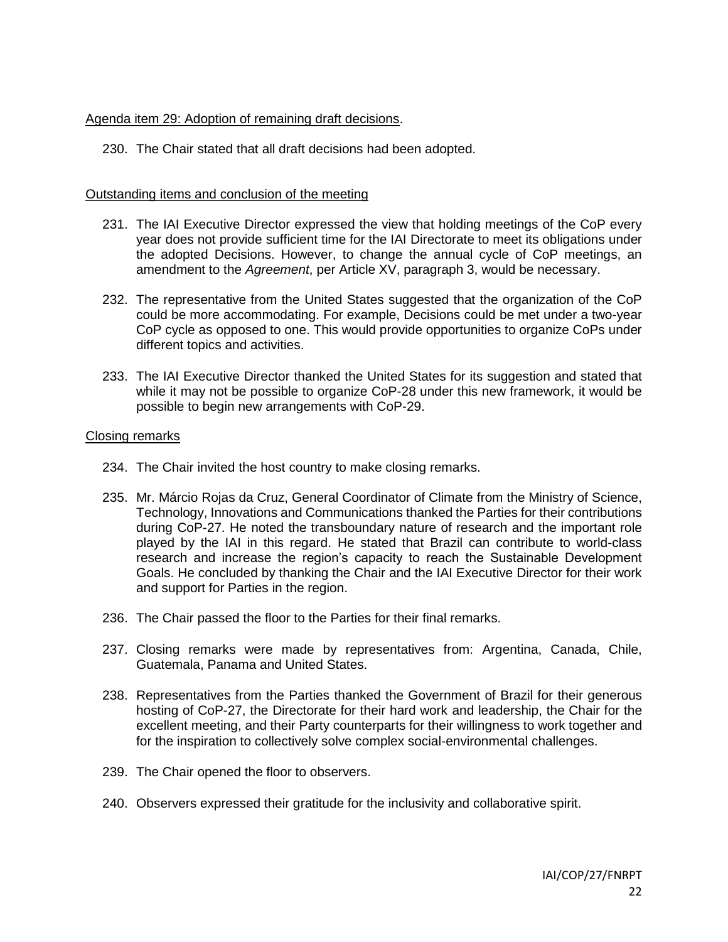### Agenda item 29: Adoption of remaining draft decisions.

230. The Chair stated that all draft decisions had been adopted.

### Outstanding items and conclusion of the meeting

- 231. The IAI Executive Director expressed the view that holding meetings of the CoP every year does not provide sufficient time for the IAI Directorate to meet its obligations under the adopted Decisions. However, to change the annual cycle of CoP meetings, an amendment to the *Agreement*, per Article XV, paragraph 3, would be necessary.
- 232. The representative from the United States suggested that the organization of the CoP could be more accommodating. For example, Decisions could be met under a two-year CoP cycle as opposed to one. This would provide opportunities to organize CoPs under different topics and activities.
- 233. The IAI Executive Director thanked the United States for its suggestion and stated that while it may not be possible to organize CoP-28 under this new framework, it would be possible to begin new arrangements with CoP-29.

### Closing remarks

- 234. The Chair invited the host country to make closing remarks.
- 235. Mr. Márcio Rojas da Cruz, General Coordinator of Climate from the Ministry of Science, Technology, Innovations and Communications thanked the Parties for their contributions during CoP-27. He noted the transboundary nature of research and the important role played by the IAI in this regard. He stated that Brazil can contribute to world-class research and increase the region's capacity to reach the Sustainable Development Goals. He concluded by thanking the Chair and the IAI Executive Director for their work and support for Parties in the region.
- 236. The Chair passed the floor to the Parties for their final remarks.
- 237. Closing remarks were made by representatives from: Argentina, Canada, Chile, Guatemala, Panama and United States.
- 238. Representatives from the Parties thanked the Government of Brazil for their generous hosting of CoP-27, the Directorate for their hard work and leadership, the Chair for the excellent meeting, and their Party counterparts for their willingness to work together and for the inspiration to collectively solve complex social-environmental challenges.
- 239. The Chair opened the floor to observers.
- 240. Observers expressed their gratitude for the inclusivity and collaborative spirit.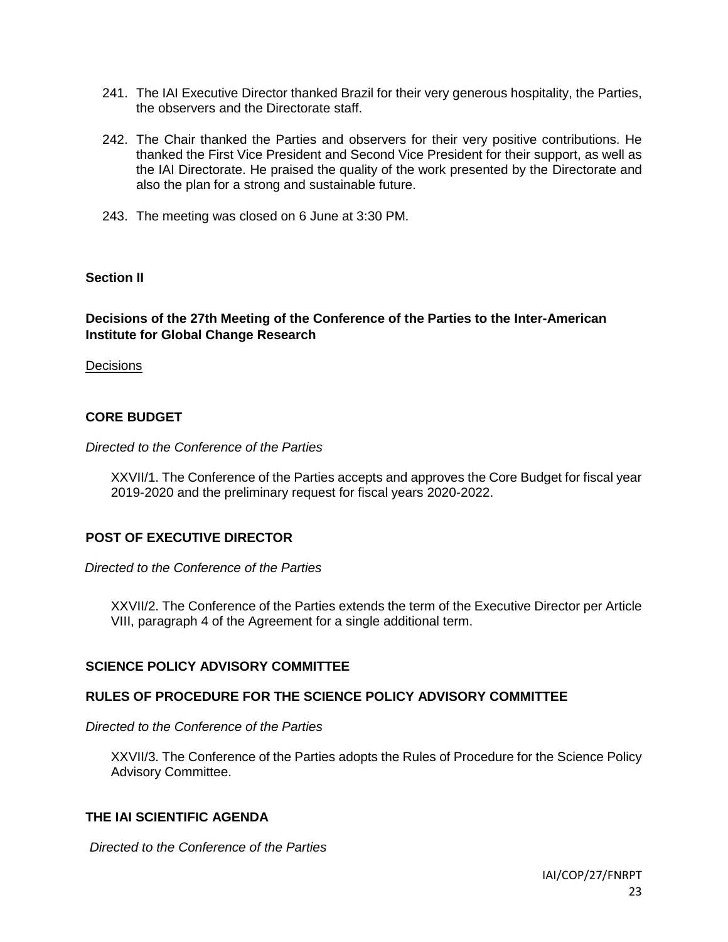- 241. The IAI Executive Director thanked Brazil for their very generous hospitality, the Parties, the observers and the Directorate staff.
- 242. The Chair thanked the Parties and observers for their very positive contributions. He thanked the First Vice President and Second Vice President for their support, as well as the IAI Directorate. He praised the quality of the work presented by the Directorate and also the plan for a strong and sustainable future.
- 243. The meeting was closed on 6 June at 3:30 PM.

## **Section II**

# **Decisions of the 27th Meeting of the Conference of the Parties to the Inter-American Institute for Global Change Research**

**Decisions** 

# **CORE BUDGET**

### *Directed to the Conference of the Parties*

XXVII/1. The Conference of the Parties accepts and approves the Core Budget for fiscal year 2019-2020 and the preliminary request for fiscal years 2020-2022.

# **POST OF EXECUTIVE DIRECTOR**

*Directed to the Conference of the Parties*

XXVII/2. The Conference of the Parties extends the term of the Executive Director per Article VIII, paragraph 4 of the Agreement for a single additional term.

## **SCIENCE POLICY ADVISORY COMMITTEE**

## **RULES OF PROCEDURE FOR THE SCIENCE POLICY ADVISORY COMMITTEE**

### *Directed to the Conference of the Parties*

XXVII/3. The Conference of the Parties adopts the Rules of Procedure for the Science Policy Advisory Committee.

## **THE IAI SCIENTIFIC AGENDA**

*Directed to the Conference of the Parties*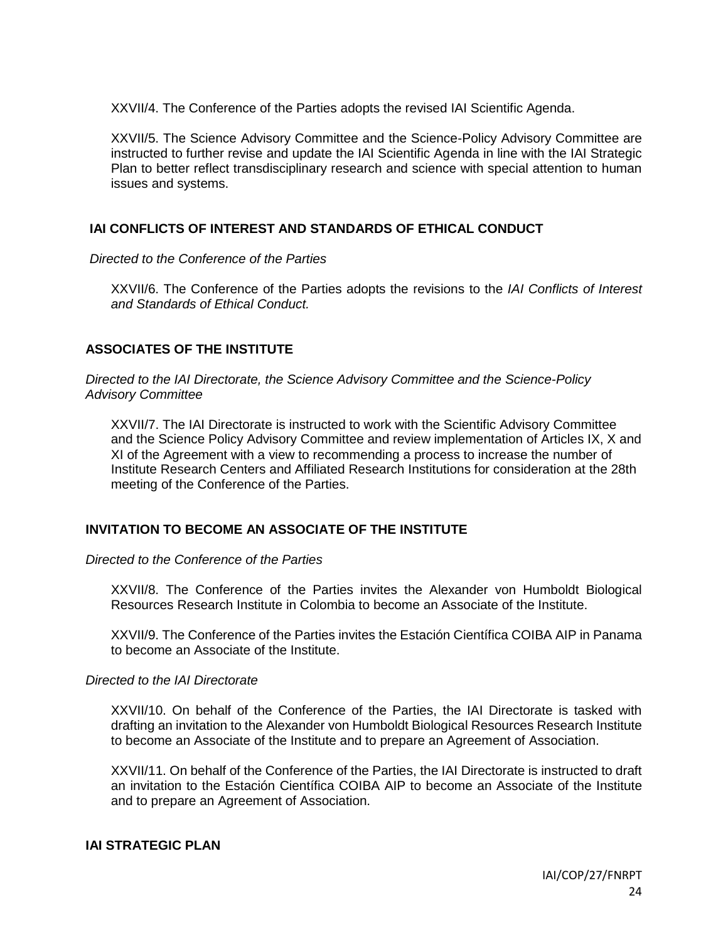XXVII/4. The Conference of the Parties adopts the revised IAI Scientific Agenda.

XXVII/5. The Science Advisory Committee and the Science-Policy Advisory Committee are instructed to further revise and update the IAI Scientific Agenda in line with the IAI Strategic Plan to better reflect transdisciplinary research and science with special attention to human issues and systems.

# **IAI CONFLICTS OF INTEREST AND STANDARDS OF ETHICAL CONDUCT**

*Directed to the Conference of the Parties*

XXVII/6. The Conference of the Parties adopts the revisions to the *IAI Conflicts of Interest and Standards of Ethical Conduct.*

# **ASSOCIATES OF THE INSTITUTE**

*Directed to the IAI Directorate, the Science Advisory Committee and the Science-Policy Advisory Committee*

XXVII/7. The IAI Directorate is instructed to work with the Scientific Advisory Committee and the Science Policy Advisory Committee and review implementation of Articles IX, X and XI of the Agreement with a view to recommending a process to increase the number of Institute Research Centers and Affiliated Research Institutions for consideration at the 28th meeting of the Conference of the Parties.

## **INVITATION TO BECOME AN ASSOCIATE OF THE INSTITUTE**

*Directed to the Conference of the Parties*

XXVII/8. The Conference of the Parties invites the Alexander von Humboldt Biological Resources Research Institute in Colombia to become an Associate of the Institute.

XXVII/9. The Conference of the Parties invites the Estación Científica COIBA AIP in Panama to become an Associate of the Institute.

## *Directed to the IAI Directorate*

XXVII/10. On behalf of the Conference of the Parties, the IAI Directorate is tasked with drafting an invitation to the Alexander von Humboldt Biological Resources Research Institute to become an Associate of the Institute and to prepare an Agreement of Association.

XXVII/11. On behalf of the Conference of the Parties, the IAI Directorate is instructed to draft an invitation to the Estación Científica COIBA AIP to become an Associate of the Institute and to prepare an Agreement of Association.

### **IAI STRATEGIC PLAN**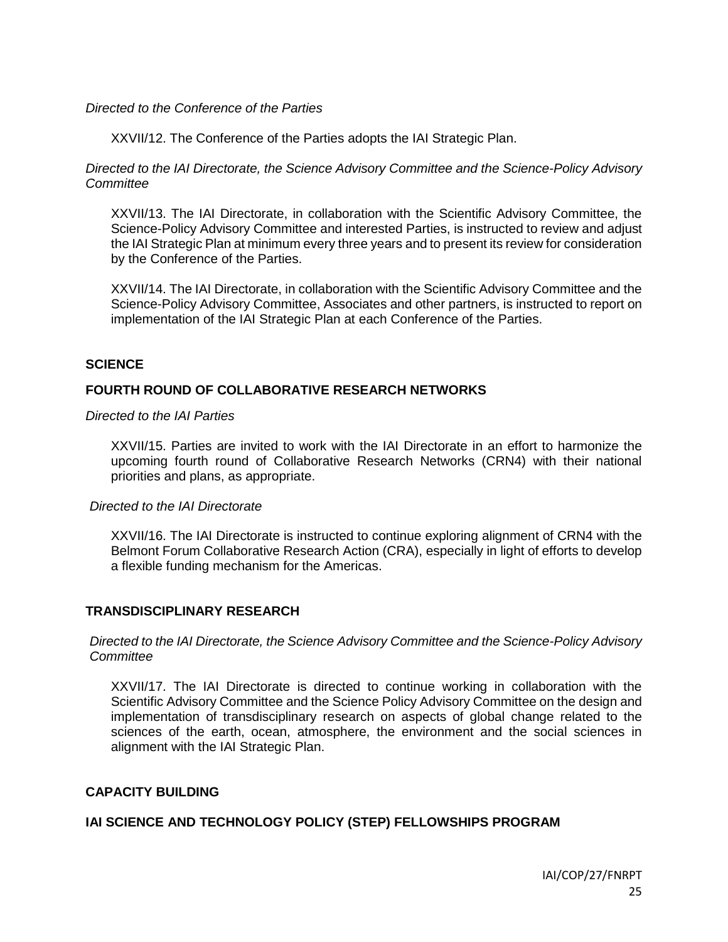### *Directed to the Conference of the Parties*

XXVII/12. The Conference of the Parties adopts the IAI Strategic Plan.

*Directed to the IAI Directorate, the Science Advisory Committee and the Science-Policy Advisory Committee*

XXVII/13. The IAI Directorate, in collaboration with the Scientific Advisory Committee, the Science-Policy Advisory Committee and interested Parties, is instructed to review and adjust the IAI Strategic Plan at minimum every three years and to present its review for consideration by the Conference of the Parties.

XXVII/14. The IAI Directorate, in collaboration with the Scientific Advisory Committee and the Science-Policy Advisory Committee, Associates and other partners, is instructed to report on implementation of the IAI Strategic Plan at each Conference of the Parties.

### **SCIENCE**

## **FOURTH ROUND OF COLLABORATIVE RESEARCH NETWORKS**

*Directed to the IAI Parties*

XXVII/15. Parties are invited to work with the IAI Directorate in an effort to harmonize the upcoming fourth round of Collaborative Research Networks (CRN4) with their national priorities and plans, as appropriate.

#### *Directed to the IAI Directorate*

XXVII/16. The IAI Directorate is instructed to continue exploring alignment of CRN4 with the Belmont Forum Collaborative Research Action (CRA), especially in light of efforts to develop a flexible funding mechanism for the Americas.

## **TRANSDISCIPLINARY RESEARCH**

### *Directed to the IAI Directorate, the Science Advisory Committee and the Science-Policy Advisory Committee*

XXVII/17. The IAI Directorate is directed to continue working in collaboration with the Scientific Advisory Committee and the Science Policy Advisory Committee on the design and implementation of transdisciplinary research on aspects of global change related to the sciences of the earth, ocean, atmosphere, the environment and the social sciences in alignment with the IAI Strategic Plan.

## **CAPACITY BUILDING**

## **IAI SCIENCE AND TECHNOLOGY POLICY (STEP) FELLOWSHIPS PROGRAM**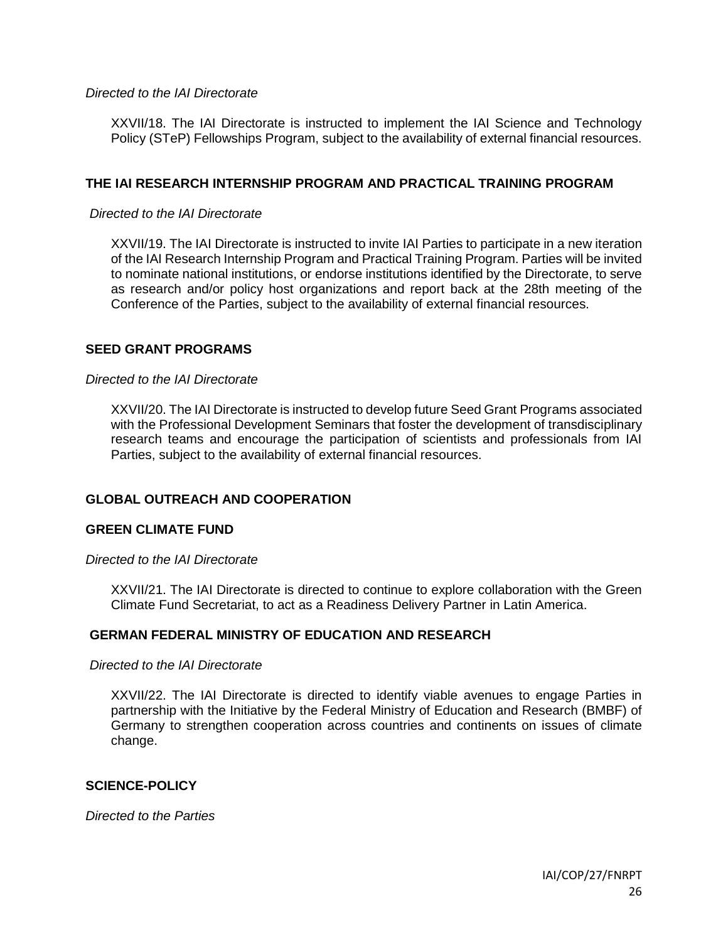### *Directed to the IAI Directorate*

XXVII/18. The IAI Directorate is instructed to implement the IAI Science and Technology Policy (STeP) Fellowships Program, subject to the availability of external financial resources.

## **THE IAI RESEARCH INTERNSHIP PROGRAM AND PRACTICAL TRAINING PROGRAM**

#### *Directed to the IAI Directorate*

XXVII/19. The IAI Directorate is instructed to invite IAI Parties to participate in a new iteration of the IAI Research Internship Program and Practical Training Program. Parties will be invited to nominate national institutions, or endorse institutions identified by the Directorate, to serve as research and/or policy host organizations and report back at the 28th meeting of the Conference of the Parties, subject to the availability of external financial resources.

## **SEED GRANT PROGRAMS**

#### *Directed to the IAI Directorate*

XXVII/20. The IAI Directorate is instructed to develop future Seed Grant Programs associated with the Professional Development Seminars that foster the development of transdisciplinary research teams and encourage the participation of scientists and professionals from IAI Parties, subject to the availability of external financial resources.

## **GLOBAL OUTREACH AND COOPERATION**

## **GREEN CLIMATE FUND**

#### *Directed to the IAI Directorate*

XXVII/21. The IAI Directorate is directed to continue to explore collaboration with the Green Climate Fund Secretariat, to act as a Readiness Delivery Partner in Latin America.

## **GERMAN FEDERAL MINISTRY OF EDUCATION AND RESEARCH**

#### *Directed to the IAI Directorate*

XXVII/22. The IAI Directorate is directed to identify viable avenues to engage Parties in partnership with the Initiative by the Federal Ministry of Education and Research (BMBF) of Germany to strengthen cooperation across countries and continents on issues of climate change.

#### **SCIENCE-POLICY**

*Directed to the Parties*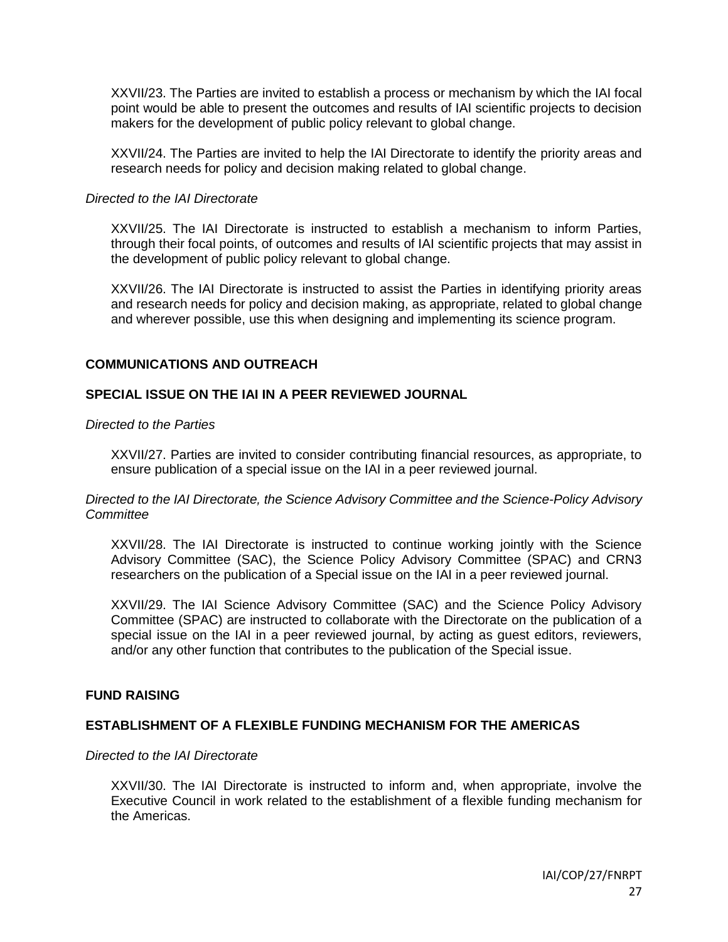XXVII/23. The Parties are invited to establish a process or mechanism by which the IAI focal point would be able to present the outcomes and results of IAI scientific projects to decision makers for the development of public policy relevant to global change.

XXVII/24. The Parties are invited to help the IAI Directorate to identify the priority areas and research needs for policy and decision making related to global change.

### *Directed to the IAI Directorate*

XXVII/25. The IAI Directorate is instructed to establish a mechanism to inform Parties, through their focal points, of outcomes and results of IAI scientific projects that may assist in the development of public policy relevant to global change.

XXVII/26. The IAI Directorate is instructed to assist the Parties in identifying priority areas and research needs for policy and decision making, as appropriate, related to global change and wherever possible, use this when designing and implementing its science program.

### **COMMUNICATIONS AND OUTREACH**

## **SPECIAL ISSUE ON THE IAI IN A PEER REVIEWED JOURNAL**

#### *Directed to the Parties*

XXVII/27. Parties are invited to consider contributing financial resources, as appropriate, to ensure publication of a special issue on the IAI in a peer reviewed journal.

#### *Directed to the IAI Directorate, the Science Advisory Committee and the Science-Policy Advisory Committee*

XXVII/28. The IAI Directorate is instructed to continue working jointly with the Science Advisory Committee (SAC), the Science Policy Advisory Committee (SPAC) and CRN3 researchers on the publication of a Special issue on the IAI in a peer reviewed journal.

XXVII/29. The IAI Science Advisory Committee (SAC) and the Science Policy Advisory Committee (SPAC) are instructed to collaborate with the Directorate on the publication of a special issue on the IAI in a peer reviewed journal, by acting as guest editors, reviewers, and/or any other function that contributes to the publication of the Special issue.

#### **FUND RAISING**

## **ESTABLISHMENT OF A FLEXIBLE FUNDING MECHANISM FOR THE AMERICAS**

#### *Directed to the IAI Directorate*

XXVII/30. The IAI Directorate is instructed to inform and, when appropriate, involve the Executive Council in work related to the establishment of a flexible funding mechanism for the Americas.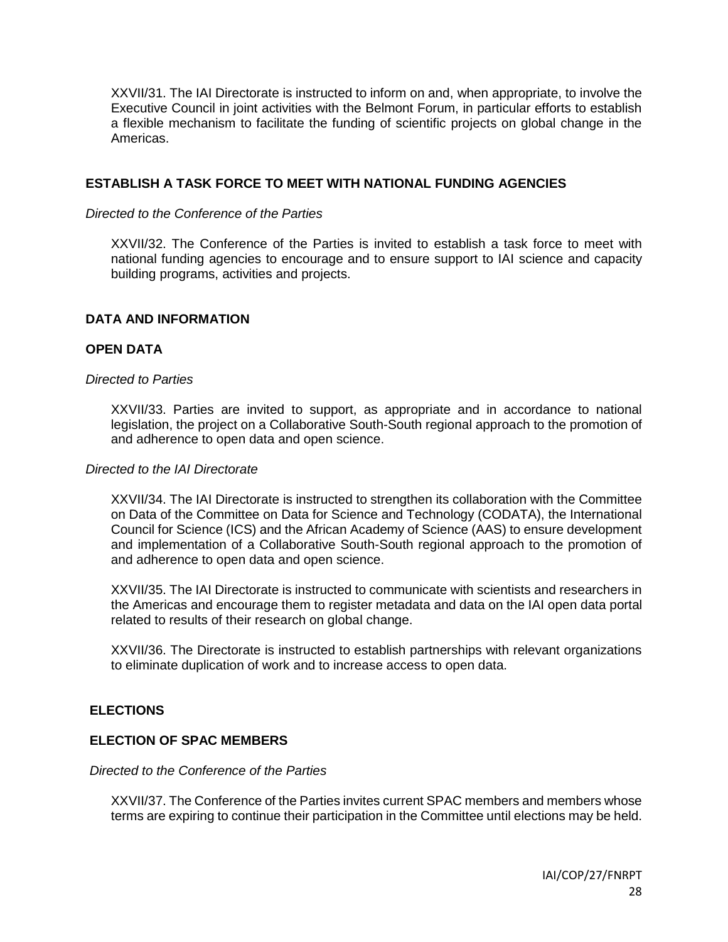XXVII/31. The IAI Directorate is instructed to inform on and, when appropriate, to involve the Executive Council in joint activities with the Belmont Forum, in particular efforts to establish a flexible mechanism to facilitate the funding of scientific projects on global change in the Americas.

## **ESTABLISH A TASK FORCE TO MEET WITH NATIONAL FUNDING AGENCIES**

### *Directed to the Conference of the Parties*

XXVII/32. The Conference of the Parties is invited to establish a task force to meet with national funding agencies to encourage and to ensure support to IAI science and capacity building programs, activities and projects.

### **DATA AND INFORMATION**

### **OPEN DATA**

#### *Directed to Parties*

XXVII/33. Parties are invited to support, as appropriate and in accordance to national legislation, the project on a Collaborative South-South regional approach to the promotion of and adherence to open data and open science.

#### *Directed to the IAI Directorate*

XXVII/34. The IAI Directorate is instructed to strengthen its collaboration with the Committee on Data of the Committee on Data for Science and Technology (CODATA), the International Council for Science (ICS) and the African Academy of Science (AAS) to ensure development and implementation of a Collaborative South-South regional approach to the promotion of and adherence to open data and open science.

XXVII/35. The IAI Directorate is instructed to communicate with scientists and researchers in the Americas and encourage them to register metadata and data on the IAI open data portal related to results of their research on global change.

XXVII/36. The Directorate is instructed to establish partnerships with relevant organizations to eliminate duplication of work and to increase access to open data.

## **ELECTIONS**

## **ELECTION OF SPAC MEMBERS**

#### *Directed to the Conference of the Parties*

XXVII/37. The Conference of the Parties invites current SPAC members and members whose terms are expiring to continue their participation in the Committee until elections may be held.